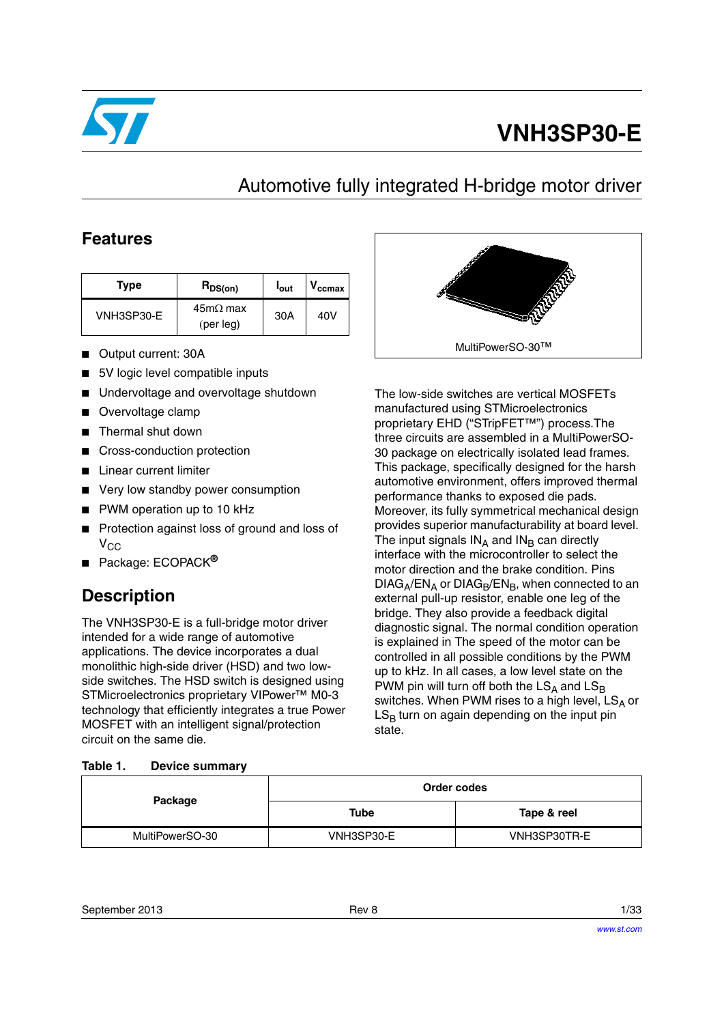

# **VNH3SP30-E**

# Automotive fully integrated H-bridge motor driver

### **Features**

| Type       | $R_{DS(on)}$                 | l <sub>out</sub> | $V_{\rm ccmax}$ |
|------------|------------------------------|------------------|-----------------|
| VNH3SP30-E | $45m\Omega$ max<br>(per leg) | 30A              | 40V             |

- Output current: 30A
- 5V logic level compatible inputs
- Undervoltage and overvoltage shutdown
- Overvoltage clamp
- Thermal shut down
- Cross-conduction protection
- Linear current limiter
- Very low standby power consumption
- PWM operation up to 10 kHz
- Protection against loss of ground and loss of  $V_{CC}$
- Package: ECOPACK**®**

## **Description**

The VNH3SP30-E is a full-bridge motor driver intended for a wide range of automotive applications. The device incorporates a dual monolithic high-side driver (HSD) and two lowside switches. The HSD switch is designed using STMicroelectronics proprietary VIPower™ M0-3 technology that efficiently integrates a true Power MOSFET with an intelligent signal/protection circuit on the same die.

#### <span id="page-0-0"></span>**Table 1. Device summary**



The low-side switches are vertical MOSFETs manufactured using STMicroelectronics proprietary EHD ("STripFET™") process.The three circuits are assembled in a MultiPowerSO-30 package on electrically isolated lead frames. This package, specifically designed for the harsh automotive environment, offers improved thermal performance thanks to exposed die pads. Moreover, its fully symmetrical mechanical design provides superior manufacturability at board level. The input signals  $IN_A$  and  $IN_B$  can directly interface with the microcontroller to select the motor direction and the brake condition. Pins  $DIAG_A/EN_A$  or  $DIAG_B/EN_B$ , when connected to an external pull-up resistor, enable one leg of the bridge. They also provide a feedback digital diagnostic signal. The normal condition operation is explained in The speed of the motor can be controlled in all possible conditions by the PWM up to kHz. In all cases, a low level state on the PWM pin will turn off both the  $LS_A$  and  $LS_B$ switches. When PWM rises to a high level,  $LS_A$  or  $LS_B$  turn on again depending on the input pin state.

| Package         |            | Order codes  |
|-----------------|------------|--------------|
|                 | Tube       | Tape & reel  |
| MultiPowerSO-30 | VNH3SP30-E | VNH3SP30TR-E |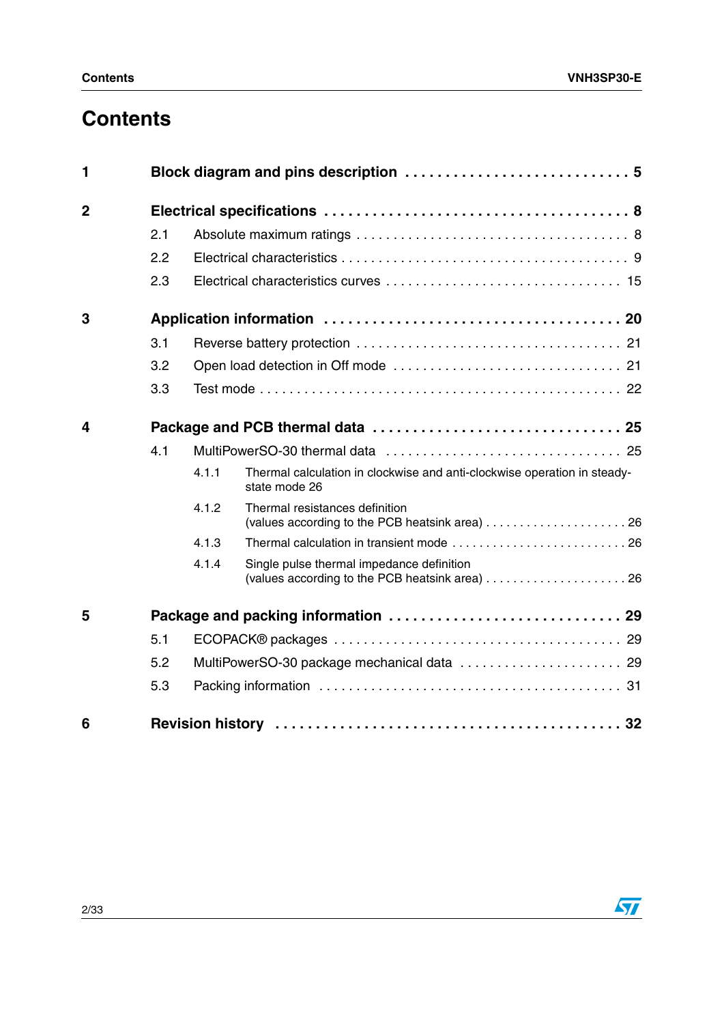# **Contents**

| 1              |     |       |                                                                                           |
|----------------|-----|-------|-------------------------------------------------------------------------------------------|
| $\overline{2}$ |     |       |                                                                                           |
|                | 2.1 |       |                                                                                           |
|                | 2.2 |       |                                                                                           |
|                | 2.3 |       |                                                                                           |
| 3              |     |       |                                                                                           |
|                | 3.1 |       |                                                                                           |
|                | 3.2 |       |                                                                                           |
|                | 3.3 |       |                                                                                           |
| 4              |     |       |                                                                                           |
|                | 4.1 |       |                                                                                           |
|                |     | 4.1.1 | Thermal calculation in clockwise and anti-clockwise operation in steady-<br>state mode 26 |
|                |     | 4.1.2 | Thermal resistances definition                                                            |
|                |     | 4.1.3 |                                                                                           |
|                |     | 4.1.4 | Single pulse thermal impedance definition                                                 |
| 5              |     |       |                                                                                           |
|                | 5.1 |       |                                                                                           |
|                | 5.2 |       | MultiPowerSO-30 package mechanical data  29                                               |
|                | 5.3 |       |                                                                                           |
| 6              |     |       |                                                                                           |

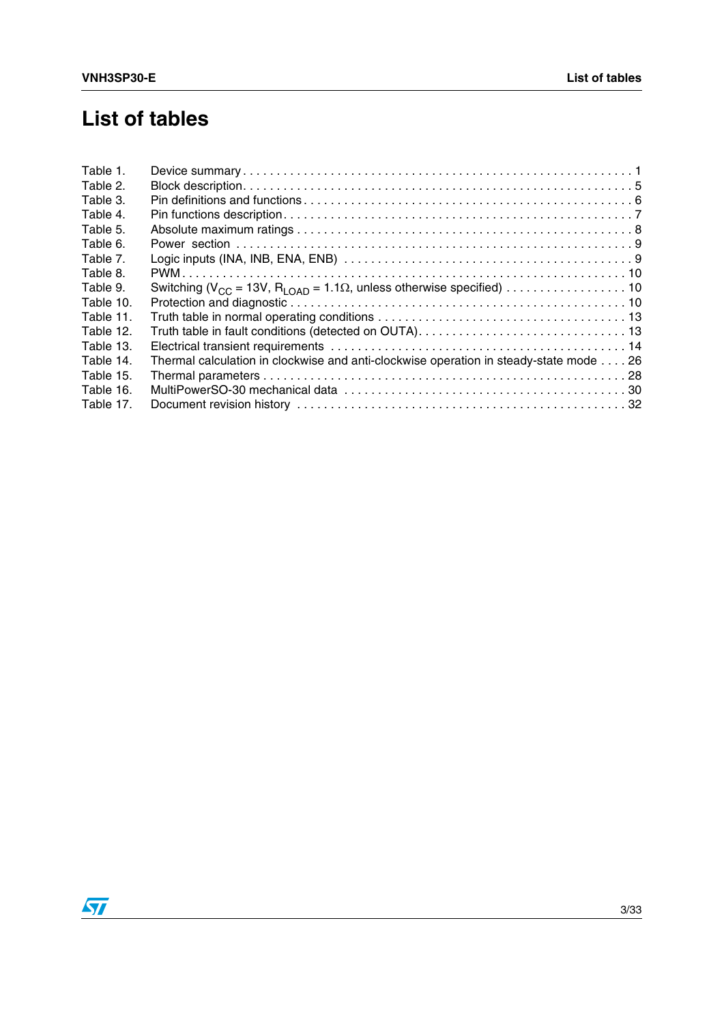## **List of tables**

| Table 1.  |                                                                                       |  |
|-----------|---------------------------------------------------------------------------------------|--|
| Table 2.  |                                                                                       |  |
| Table 3.  |                                                                                       |  |
| Table 4.  |                                                                                       |  |
| Table 5.  |                                                                                       |  |
| Table 6.  |                                                                                       |  |
| Table 7.  |                                                                                       |  |
| Table 8.  |                                                                                       |  |
| Table 9.  |                                                                                       |  |
| Table 10. |                                                                                       |  |
| Table 11. |                                                                                       |  |
| Table 12. |                                                                                       |  |
| Table 13. |                                                                                       |  |
| Table 14. | Thermal calculation in clockwise and anti-clockwise operation in steady-state mode 26 |  |
| Table 15. |                                                                                       |  |
| Table 16. |                                                                                       |  |
| Table 17. |                                                                                       |  |
|           |                                                                                       |  |

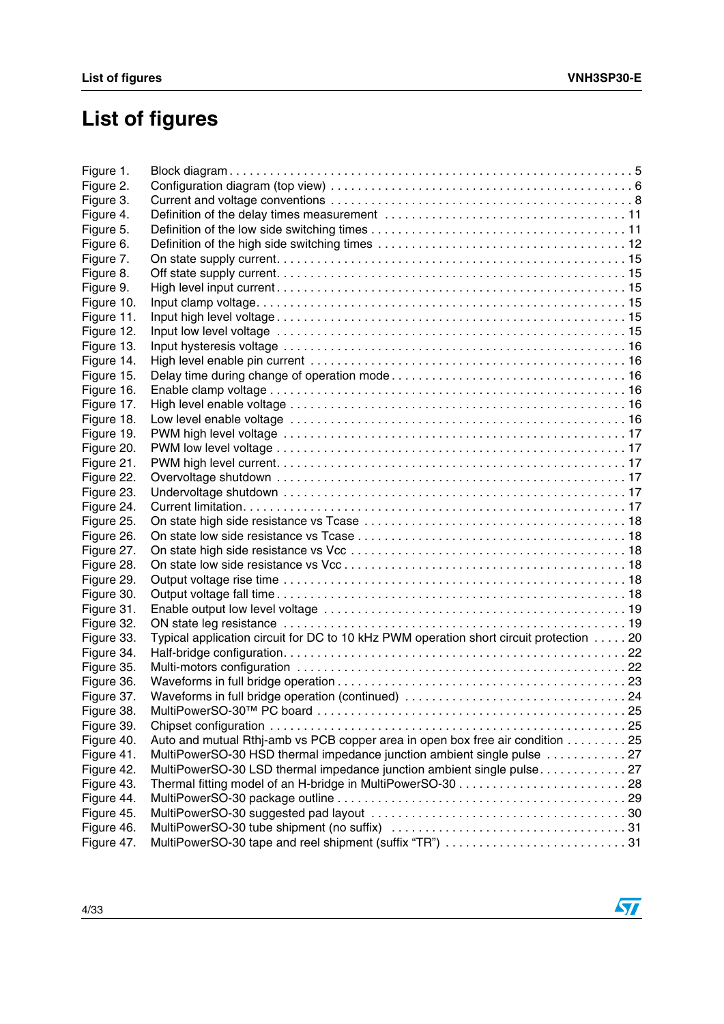# **List of figures**

| Figure 1.  |                                                                                        |  |
|------------|----------------------------------------------------------------------------------------|--|
| Figure 2.  |                                                                                        |  |
| Figure 3.  |                                                                                        |  |
| Figure 4.  |                                                                                        |  |
| Figure 5.  |                                                                                        |  |
| Figure 6.  |                                                                                        |  |
| Figure 7.  |                                                                                        |  |
| Figure 8.  |                                                                                        |  |
| Figure 9.  |                                                                                        |  |
| Figure 10. |                                                                                        |  |
| Figure 11. |                                                                                        |  |
| Figure 12. |                                                                                        |  |
| Figure 13. |                                                                                        |  |
| Figure 14. |                                                                                        |  |
| Figure 15. |                                                                                        |  |
| Figure 16. |                                                                                        |  |
| Figure 17. |                                                                                        |  |
| Figure 18. |                                                                                        |  |
| Figure 19. |                                                                                        |  |
| Figure 20. |                                                                                        |  |
| Figure 21. |                                                                                        |  |
| Figure 22. |                                                                                        |  |
| Figure 23. |                                                                                        |  |
| Figure 24. |                                                                                        |  |
| Figure 25. |                                                                                        |  |
| Figure 26. |                                                                                        |  |
| Figure 27. |                                                                                        |  |
| Figure 28. |                                                                                        |  |
| Figure 29. |                                                                                        |  |
| Figure 30. |                                                                                        |  |
| Figure 31. |                                                                                        |  |
| Figure 32. |                                                                                        |  |
| Figure 33. | Typical application circuit for DC to 10 kHz PWM operation short circuit protection 20 |  |
| Figure 34. |                                                                                        |  |
| Figure 35. |                                                                                        |  |
| Figure 36. |                                                                                        |  |
| Figure 37. | Waveforms in full bridge operation (continued) 24                                      |  |
| Figure 38. |                                                                                        |  |
| Figure 39. |                                                                                        |  |
| Figure 40. | Auto and mutual Rthj-amb vs PCB copper area in open box free air condition 25          |  |
| Figure 41. | MultiPowerSO-30 HSD thermal impedance junction ambient single pulse  27                |  |
| Figure 42. | MultiPowerSO-30 LSD thermal impedance junction ambient single pulse 27                 |  |
| Figure 43. |                                                                                        |  |
| Figure 44. |                                                                                        |  |
| Figure 45. |                                                                                        |  |
| Figure 46. |                                                                                        |  |
| Figure 47. | MultiPowerSO-30 tape and reel shipment (suffix "TR") 31                                |  |

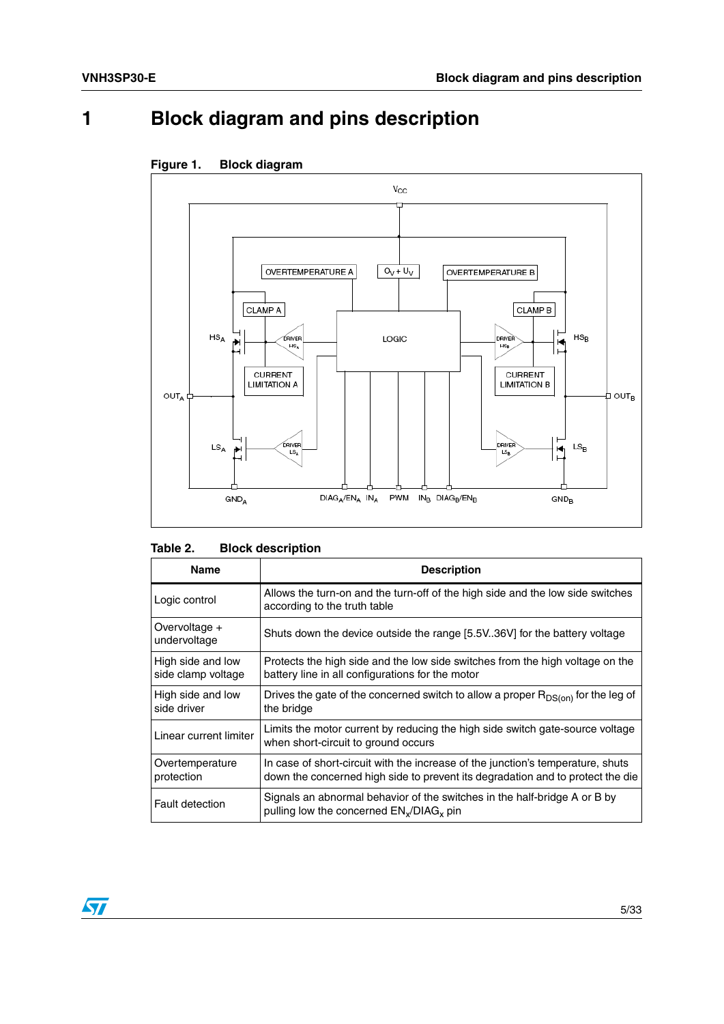## <span id="page-4-0"></span>**1 Block diagram and pins description**



### <span id="page-4-2"></span>**Figure 1. Block diagram**

#### <span id="page-4-1"></span>Table 2. **Block description**

| <b>Name</b>                             | <b>Description</b>                                                                                                                                                |
|-----------------------------------------|-------------------------------------------------------------------------------------------------------------------------------------------------------------------|
| Logic control                           | Allows the turn-on and the turn-off of the high side and the low side switches<br>according to the truth table                                                    |
| Overvoltage +<br>undervoltage           | Shuts down the device outside the range [5.5V36V] for the battery voltage                                                                                         |
| High side and low<br>side clamp voltage | Protects the high side and the low side switches from the high voltage on the<br>battery line in all configurations for the motor                                 |
| High side and low<br>side driver        | Drives the gate of the concerned switch to allow a proper $R_{DS(0n)}$ for the leg of<br>the bridge                                                               |
| Linear current limiter                  | Limits the motor current by reducing the high side switch gate-source voltage<br>when short-circuit to ground occurs                                              |
| Overtemperature<br>protection           | In case of short-circuit with the increase of the junction's temperature, shuts<br>down the concerned high side to prevent its degradation and to protect the die |
| <b>Fault detection</b>                  | Signals an abnormal behavior of the switches in the half-bridge A or B by<br>pulling low the concerned $EN_x/DIAG_x$ pin                                          |

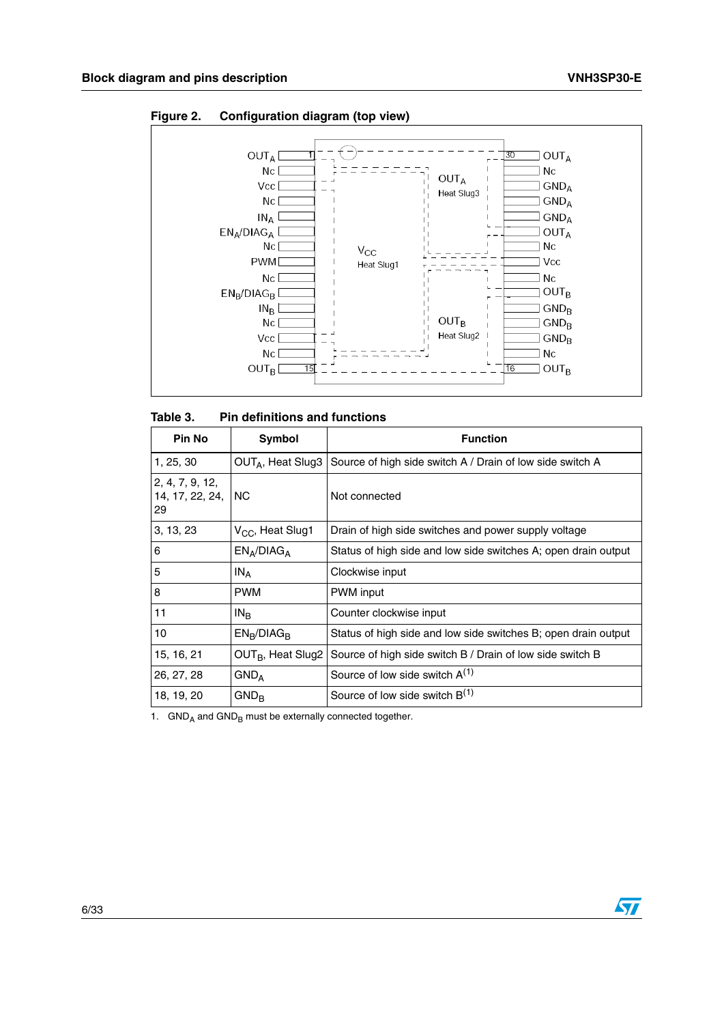

<span id="page-5-1"></span>**Figure 2. Configuration diagram (top view)**

<span id="page-5-0"></span>

| Table 3.                                 | <b>Pin definitions and functions</b> |                                                                |  |  |  |
|------------------------------------------|--------------------------------------|----------------------------------------------------------------|--|--|--|
| <b>Pin No</b>                            | Symbol                               | <b>Function</b>                                                |  |  |  |
| 1, 25, 30                                | OUT <sub>A</sub> , Heat Slug3        | Source of high side switch A / Drain of low side switch A      |  |  |  |
| 2, 4, 7, 9, 12,<br>14, 17, 22, 24,<br>29 | NC.                                  | Not connected                                                  |  |  |  |
| 3, 13, 23                                | V <sub>CC</sub> , Heat Slug1         | Drain of high side switches and power supply voltage           |  |  |  |
| 6                                        | $EN_A/DIAG_A$                        | Status of high side and low side switches A; open drain output |  |  |  |
| 5                                        | $IN_A$                               | Clockwise input                                                |  |  |  |
| 8                                        | <b>PWM</b>                           | PWM input                                                      |  |  |  |
| 11                                       | $IN_{B}$                             | Counter clockwise input                                        |  |  |  |
| 10                                       | $EN_R/DIAG_R$                        | Status of high side and low side switches B; open drain output |  |  |  |
| 15, 16, 21                               | OUT <sub>B</sub> , Heat Slug2        | Source of high side switch B / Drain of low side switch B      |  |  |  |
| 26, 27, 28                               | $GND_A$                              | Source of low side switch $A^{(1)}$                            |  |  |  |
| 18, 19, 20                               | $GND_{B}$                            | Source of low side switch $B^{(1)}$                            |  |  |  |

1.  $GND<sub>A</sub>$  and  $GND<sub>B</sub>$  must be externally connected together.

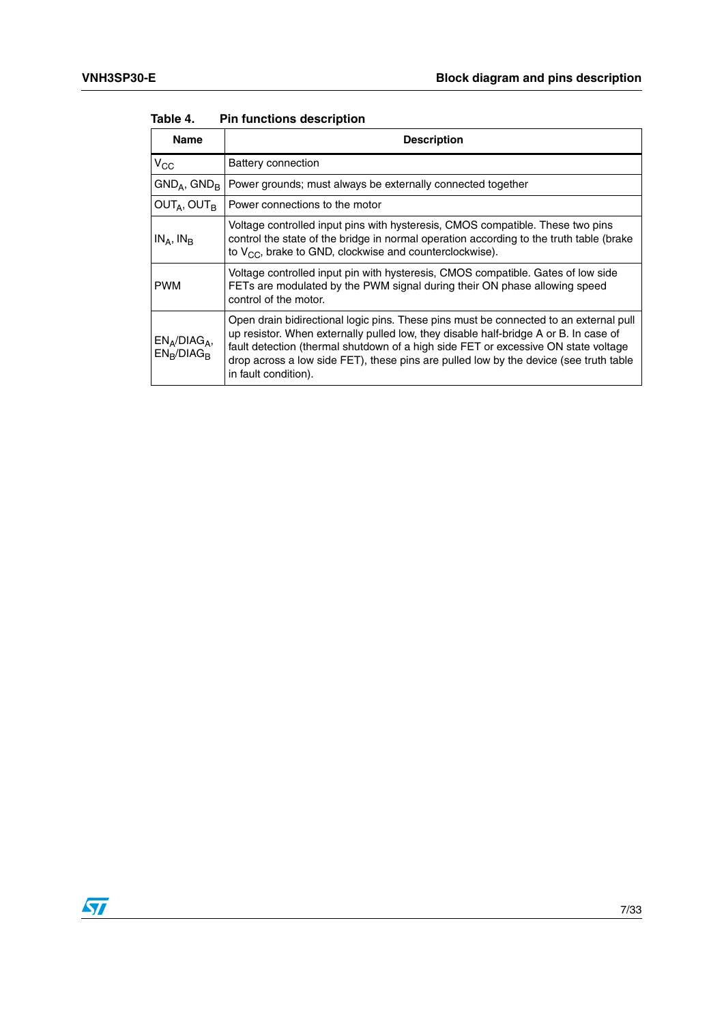| <b>Name</b>                    | <b>Description</b>                                                                                                                                                                                                                                                                                                                                                                   |
|--------------------------------|--------------------------------------------------------------------------------------------------------------------------------------------------------------------------------------------------------------------------------------------------------------------------------------------------------------------------------------------------------------------------------------|
| $V_{CC}$                       | Battery connection                                                                                                                                                                                                                                                                                                                                                                   |
| $GND_A$ , $GND_B$              | Power grounds; must always be externally connected together                                                                                                                                                                                                                                                                                                                          |
| $OUT_A, OUT_B$                 | Power connections to the motor                                                                                                                                                                                                                                                                                                                                                       |
| $IN_A$ , $IN_R$                | Voltage controlled input pins with hysteresis, CMOS compatible. These two pins<br>control the state of the bridge in normal operation according to the truth table (brake<br>to $V_{CC}$ , brake to GND, clockwise and counterclockwise).                                                                                                                                            |
| <b>PWM</b>                     | Voltage controlled input pin with hysteresis, CMOS compatible. Gates of low side<br>FETs are modulated by the PWM signal during their ON phase allowing speed<br>control of the motor.                                                                                                                                                                                               |
| $EN_A/DIAG_A$<br>$EN_B/DIAG_B$ | Open drain bidirectional logic pins. These pins must be connected to an external pull<br>up resistor. When externally pulled low, they disable half-bridge A or B. In case of<br>fault detection (thermal shutdown of a high side FET or excessive ON state voltage<br>drop across a low side FET), these pins are pulled low by the device (see truth table<br>in fault condition). |

#### <span id="page-6-0"></span>Table 4. **Pin functions description**

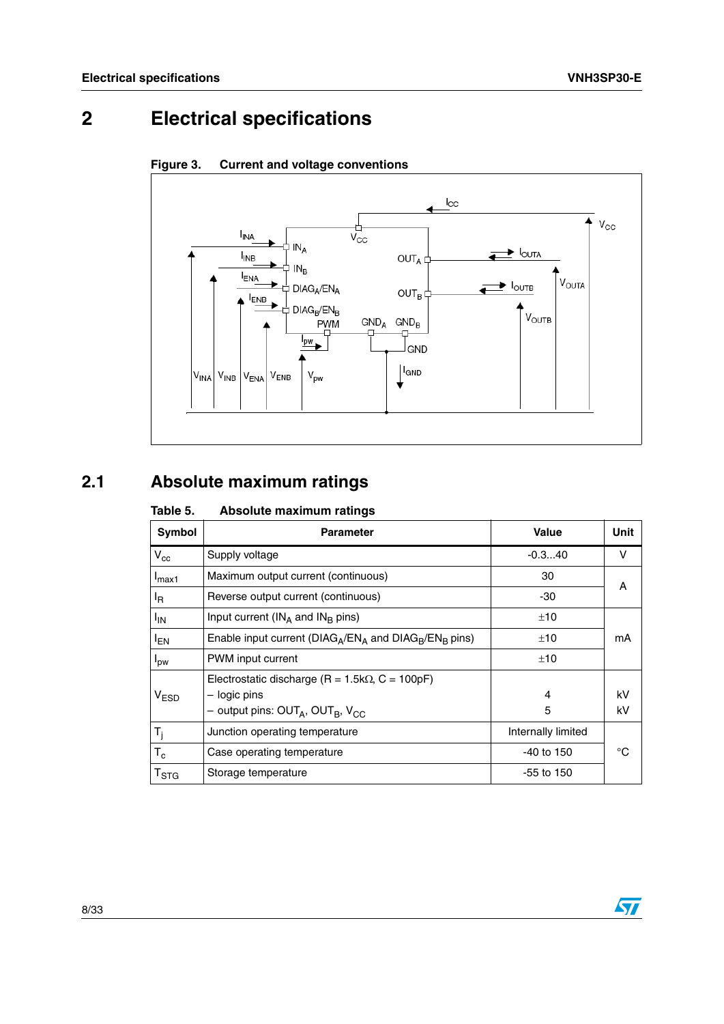# <span id="page-7-0"></span>**2 Electrical specifications**



<span id="page-7-3"></span>

## <span id="page-7-1"></span>**2.1 Absolute maximum ratings**

<span id="page-7-2"></span>

| Table 5.              | Absolute maximum ratings                                     |                    |      |
|-----------------------|--------------------------------------------------------------|--------------------|------|
| Symbol                | <b>Parameter</b>                                             | <b>Value</b>       | Unit |
| $V_{cc}$              | Supply voltage                                               | $-0.340$           | v    |
| $I_{\text{max1}}$     | Maximum output current (continuous)                          | 30                 | A    |
| l <sub>R</sub>        | Reverse output current (continuous)                          | -30                |      |
| <b>I<sub>IN</sub></b> | Input current ( $IN_A$ and $IN_B$ pins)                      | ±10                |      |
| <sup>I</sup> EN       | Enable input current ( $DIAG_A/EN_A$ and $DIAG_B/EN_B$ pins) | ±10                | mA   |
| $I_{\text{DW}}$       | PWM input current                                            | ±10                |      |
|                       | Electrostatic discharge ( $R = 1.5k\Omega$ , $C = 100pF$ )   |                    |      |
| V <sub>ESD</sub>      | - logic pins                                                 | 4                  | kV   |
|                       | - output pins: $OUT_A$ , $OUT_B$ , $V_{CC}$                  | 5                  | kV   |
| $T_i$                 | Junction operating temperature                               | Internally limited |      |
| $T_c$                 | Case operating temperature                                   | $-40$ to 150       | °C   |
| $T_{\rm STG}$         | Storage temperature                                          | $-55$ to 150       |      |

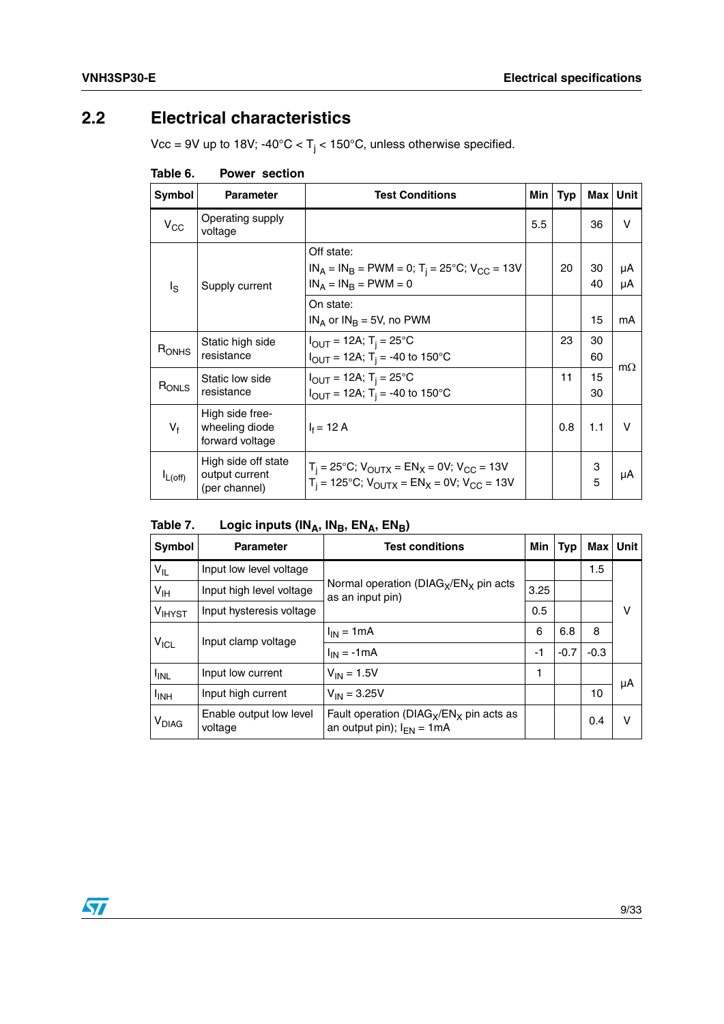### <span id="page-8-0"></span>**2.2 Electrical characteristics**

Vcc = 9V up to 18V; -40°C <  $T_j$  < 150°C, unless otherwise specified.

| Symbol            | <b>Parameter</b>                                       | <b>Test Conditions</b>                                                                                                                        | Min | Typ | Max      | <b>Unit</b>  |
|-------------------|--------------------------------------------------------|-----------------------------------------------------------------------------------------------------------------------------------------------|-----|-----|----------|--------------|
| $V_{\rm CC}$      | Operating supply<br>voltage                            |                                                                                                                                               | 5.5 |     | 36       | v            |
| $I_{\rm S}$       | Supply current                                         | Off state:<br>$IN_A = IN_B = PWM = 0$ ; T <sub>i</sub> = 25°C; V <sub>CC</sub> = 13V<br>$IN_A = IN_B = PWM = 0$                               |     | 20  | 30<br>40 | μA<br>μA     |
|                   |                                                        | On state:<br>$IN_A$ or $IN_B = 5V$ , no PWM                                                                                                   |     |     | 15       | mA           |
| R <sub>ONHS</sub> | Static high side<br>resistance                         | $I_{\text{OUT}} = 12A$ ; T <sub>i</sub> = 25°C<br>$I_{OUT} = 12A$ ; T <sub>i</sub> = -40 to 150°C                                             |     | 23  | 30<br>60 | $m\Omega$    |
| RONLS             | Static low side<br>resistance                          | $I_{OUT} = 12A$ ; T <sub>i</sub> = 25°C<br>$I_{\text{OUT}} = 12A$ ; T <sub>i</sub> = -40 to 150°C                                             |     | 11  | 15<br>30 |              |
| $V_{f}$           | High side free-<br>wheeling diode<br>forward voltage   | $I_f = 12 A$                                                                                                                                  |     | 0.8 | 1.1      | $\mathsf{V}$ |
| $L$ (off)         | High side off state<br>output current<br>(per channel) | $T_i = 25^{\circ}C$ ; $V_{\text{OUTX}} = EN_X = 0V$ ; $V_{\text{CC}} = 13V$<br>$T_i = 125^{\circ}C$ ; $V_{OUTX} = EN_X = 0V$ ; $V_{CC} = 13V$ |     |     | 3<br>5   | μA           |

<span id="page-8-1"></span>Table 6. **Power section** 

<span id="page-8-2"></span>

| Logic inputs ( $IN_A$ , $IN_B$ , $EN_A$ , $EN_B$ )<br>Table 7. |  |  |
|----------------------------------------------------------------|--|--|
|----------------------------------------------------------------|--|--|

| <b>Symbol</b>      | <b>Parameter</b>                   | <b>Test conditions</b>                                                        | Min  | Typ    | Max    | <b>Unit</b> |
|--------------------|------------------------------------|-------------------------------------------------------------------------------|------|--------|--------|-------------|
| $V_{IL}$           | Input low level voltage            | Normal operation ( $DIAG_X/EN_X$ pin acts<br>as an input pin)                 |      |        | 1.5    |             |
| $V_{\text{IH}}$    | Input high level voltage           |                                                                               | 3.25 |        |        |             |
| V <sub>IHYST</sub> | Input hysteresis voltage           |                                                                               | 0.5  |        |        | ν           |
|                    | Input clamp voltage                | $I_{IN}$ = 1 mA                                                               | 6    | 6.8    | 8      |             |
| $V_{\text{ICL}}$   |                                    | $I_{IN} = -1mA$                                                               | $-1$ | $-0.7$ | $-0.3$ |             |
| <b>I</b> INL       | Input low current                  | $V_{IN} = 1.5V$                                                               | 1    |        |        |             |
| <sup>I</sup> INH   | Input high current                 | $V_{IN} = 3.25V$                                                              |      |        | 10     | μA          |
| V <sub>DIAG</sub>  | Enable output low level<br>voltage | Fault operation ( $DIAG_X/EN_X$ pin acts as<br>an output pin); $I_{FN} = 1mA$ |      |        | 0.4    | ν           |

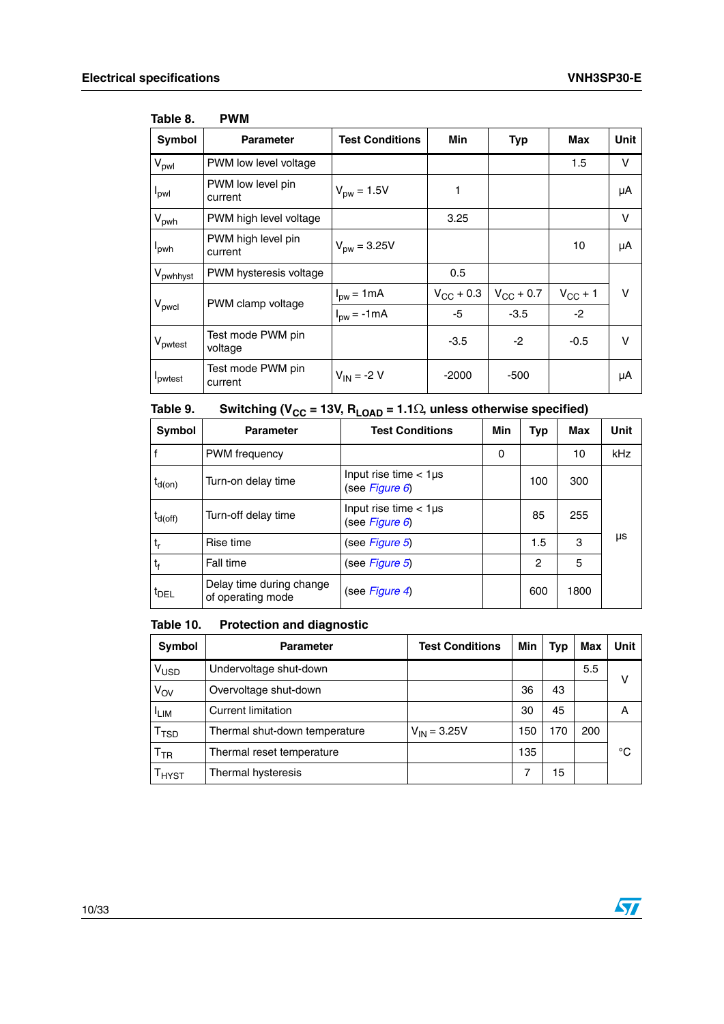| Symbol                  | <b>Parameter</b>              | <b>Test Conditions</b>         | <b>Min</b>         | <b>Typ</b>         | Max          | <b>Unit</b> |
|-------------------------|-------------------------------|--------------------------------|--------------------|--------------------|--------------|-------------|
| $V_{pwl}$               | PWM low level voltage         |                                |                    |                    | 1.5          | V           |
| $I_{\text{pwl}}$        | PWM low level pin<br>current  | $V_{\text{DW}} = 1.5V$         | 1                  |                    |              | μA          |
| $V_{\text{pwh}}$        | PWM high level voltage        |                                | 3.25               |                    |              | $\vee$      |
| <b>I</b> <sub>pwh</sub> | PWM high level pin<br>current | $V_{\text{DW}} = 3.25V$        |                    |                    | 10           | μA          |
| V <sub>pwhhyst</sub>    | PWM hysteresis voltage        |                                | 0.5                |                    |              |             |
|                         | PWM clamp voltage             | $Ipw = 1mA$                    | $V_{\rm CC}$ + 0.3 | $V_{\rm CC}$ + 0.7 | $V_{CC}$ + 1 | $\vee$      |
| V <sub>pwcl</sub>       |                               | $I_{\text{pw}} = -1 \text{mA}$ | -5                 | $-3.5$             | $-2$         |             |
| V <sub>pwtest</sub>     | Test mode PWM pin<br>voltage  |                                | $-3.5$             | $-2$               | $-0.5$       | $\vee$      |
| Ipwtest                 | Test mode PWM pin<br>current  | $V_{IN} = -2 V$                | $-2000$            | -500               |              | μA          |

#### <span id="page-9-0"></span>**Table 8. PWM**

#### <span id="page-9-1"></span>Table 9. Switching ( $V_{CC}$  = 13V,  $R_{LOAD}$  = 1.1 $\Omega$ , unless otherwise specified)

| Symbol                        | <b>Parameter</b>                              | <b>Test Conditions</b>                          | Min | <b>Typ</b> | Max  | <b>Unit</b> |
|-------------------------------|-----------------------------------------------|-------------------------------------------------|-----|------------|------|-------------|
| l f                           | PWM frequency                                 |                                                 | 0   |            | 10   | <b>kHz</b>  |
| $t_{\mathsf{d}(\mathsf{on})}$ | Turn-on delay time                            | Input rise time $<$ 1 $\mu$ s<br>(see Figure 6) |     | 100        | 300  |             |
| $t_{d(off)}$                  | Turn-off delay time                           | Input rise time $<$ 1 $\mu$ s<br>(see Figure 6) |     | 85         | 255  |             |
| $t_r$                         | Rise time                                     | (see Figure 5)                                  |     | 1.5        | 3    | μs          |
| $t_{f}$                       | Fall time                                     | (see Figure 5)                                  |     | 2          | 5    |             |
| t <sub>DEL</sub>              | Delay time during change<br>of operating mode | (see Figure 4)                                  |     | 600        | 1800 |             |

#### <span id="page-9-2"></span>Table 10. **Protection and diagnostic**

| Symbol                      | <b>Parameter</b>              | <b>Test Conditions</b> | Min | Typ | <b>Max</b> | Unit |
|-----------------------------|-------------------------------|------------------------|-----|-----|------------|------|
| V <sub>USD</sub>            | Undervoltage shut-down        |                        |     |     | 5.5        | v    |
| V <sub>OV</sub>             | Overvoltage shut-down         |                        | 36  | 43  |            |      |
| <sup>I</sup> LIM            | <b>Current limitation</b>     |                        | 30  | 45  |            | A    |
| $\mathsf{T}_{\mathsf{TSD}}$ | Thermal shut-down temperature | $V_{IN} = 3.25V$       | 150 | 170 | 200        |      |
| $\mathsf{T}_{\mathsf{TR}}$  | Thermal reset temperature     |                        | 135 |     |            | °C   |
| T <sub>HYST</sub>           | Thermal hysteresis            |                        |     | 15  |            |      |

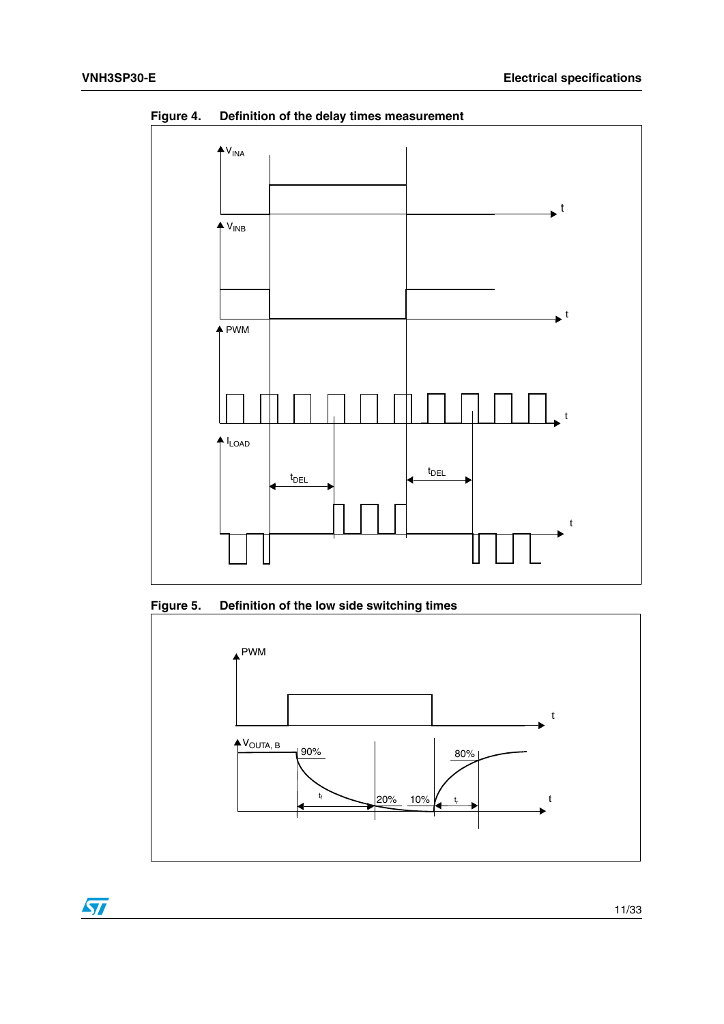

<span id="page-10-0"></span>**Figure 4. Definition of the delay times measurement**

<span id="page-10-1"></span>



 $\sqrt{2}$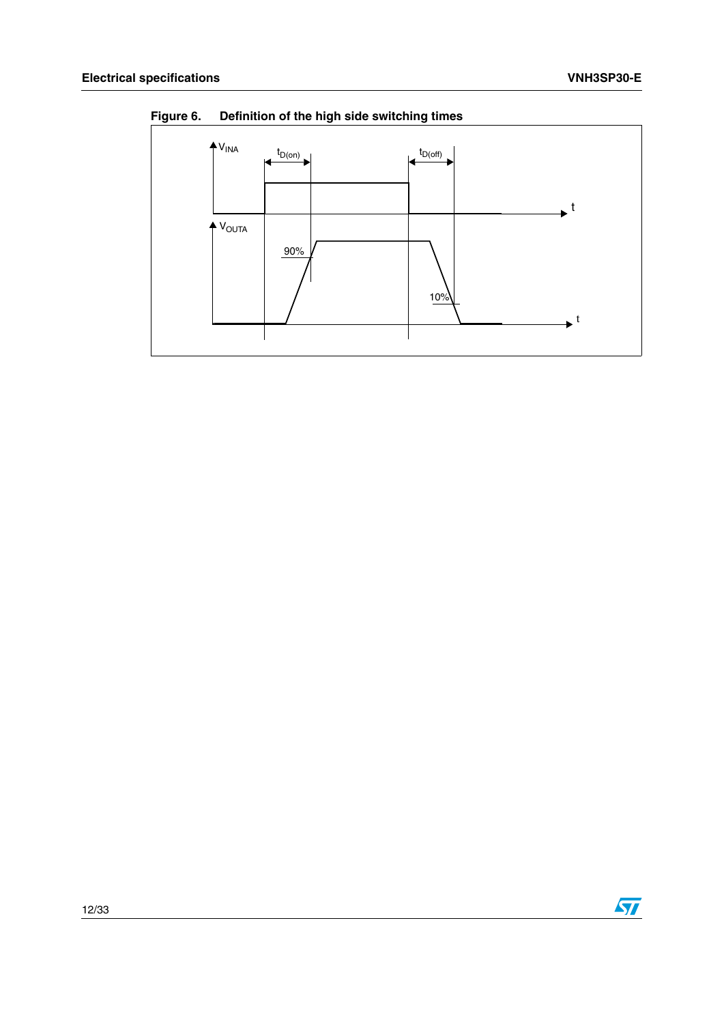

<span id="page-11-0"></span>**Figure 6. Definition of the high side switching times**

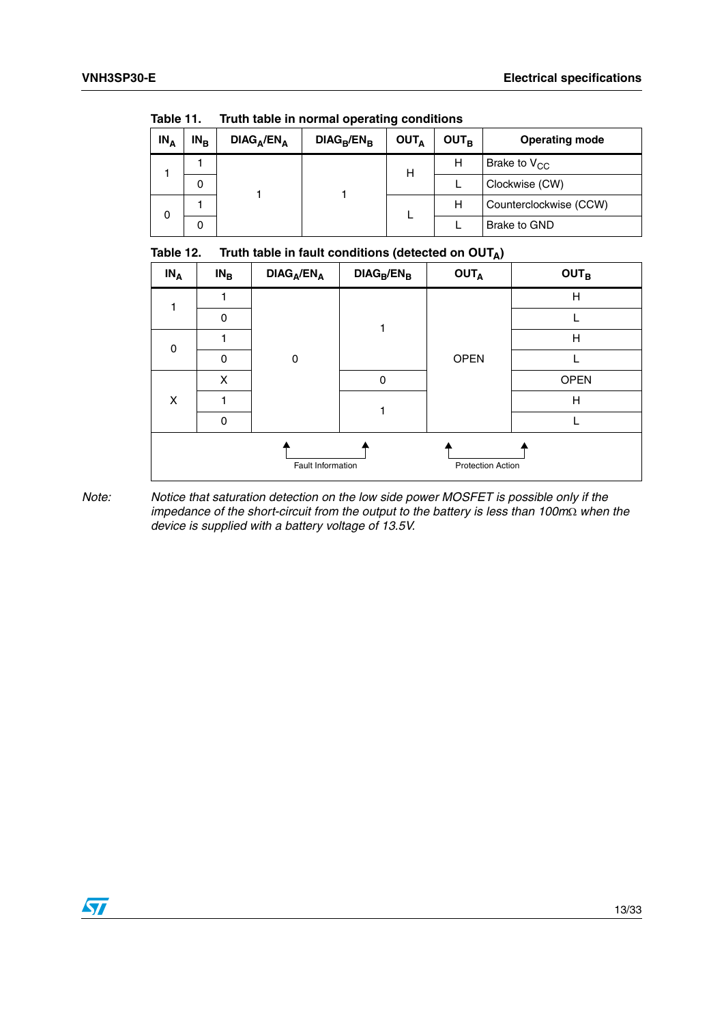| .<br><b>Hath tapic in hormal operating conditions</b> |        |        |                                    |               |                         |                  |                       |                        |
|-------------------------------------------------------|--------|--------|------------------------------------|---------------|-------------------------|------------------|-----------------------|------------------------|
|                                                       | $IN_A$ | $IN_B$ | DIAG <sub>A</sub> /EN <sub>A</sub> | $DIAG_B/EN_B$ | <b>OUT</b> <sub>A</sub> | OUT <sub>R</sub> | <b>Operating mode</b> |                        |
|                                                       |        |        |                                    |               | н                       | н                | Brake to $V_{CC}$     |                        |
|                                                       |        | 0      |                                    |               |                         |                  | Clockwise (CW)        |                        |
|                                                       | 0      |        |                                    |               |                         |                  | Н                     | Counterclockwise (CCW) |
|                                                       |        | 0      |                                    |               |                         |                  | Brake to GND          |                        |

<span id="page-12-0"></span>Table 11 **Table 11. Truth table in normal operating conditions**

<span id="page-12-1"></span>

| $IN_A$      | $IN_B$   | $DIAG_A/EN_A$     | $DIAG_B/EN_B$    | <b>OUTA</b>              | <b>OUTB</b> |
|-------------|----------|-------------------|------------------|--------------------------|-------------|
| $\mathbf 0$ |          |                   |                  |                          | H           |
|             | $\Omega$ |                   |                  |                          |             |
|             |          |                   | H<br><b>OPEN</b> |                          |             |
|             | 0        | $\mathbf 0$       |                  |                          |             |
|             | X        |                   | 0                |                          | <b>OPEN</b> |
| X           |          |                   |                  |                          | H           |
|             | $\Omega$ |                   |                  |                          |             |
|             |          | Fault Information |                  | <b>Protection Action</b> |             |

*Note: Notice that saturation detection on the low side power MOSFET is possible only if the impedance of the short-circuit from the output to the battery is less than 100m* $\Omega$  when the *device is supplied with a battery voltage of 13.5V.*

 $\sqrt{2}$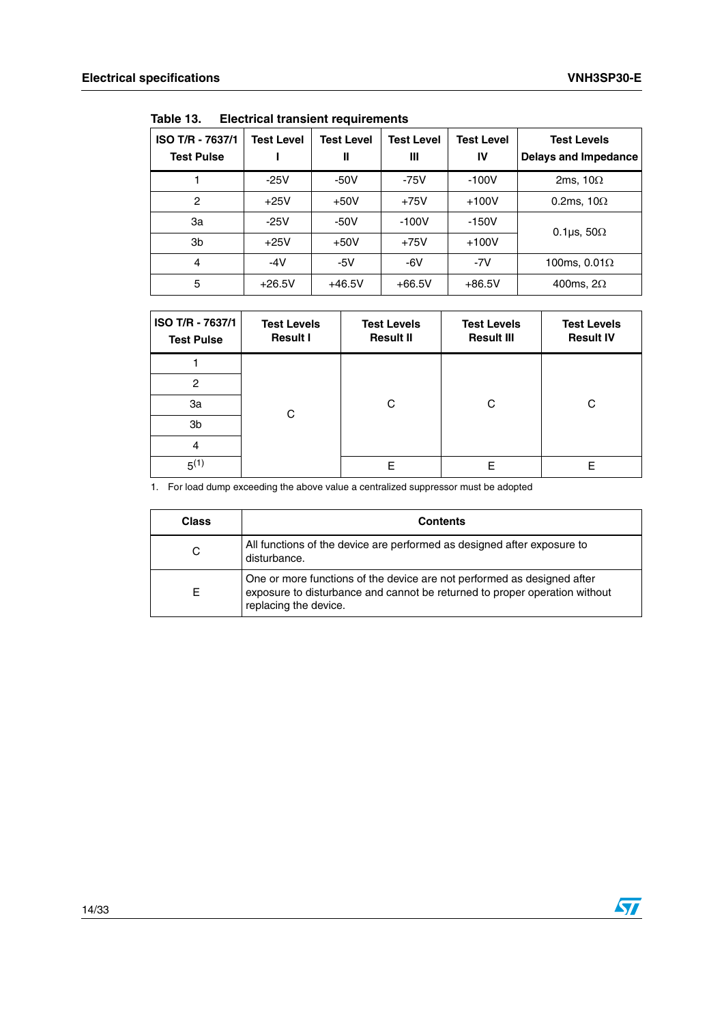| ISO T/R - 7637/1<br><b>Test Pulse</b> | <b>Test Level</b> | <b>Test Level</b><br>Ш | <b>Test Level</b><br>Ш | <b>Test Level</b><br>IV | <b>Test Levels</b><br><b>Delays and Impedance</b> |  |  |  |  |
|---------------------------------------|-------------------|------------------------|------------------------|-------------------------|---------------------------------------------------|--|--|--|--|
|                                       | $-25V$            | $-50V$                 | $-75V$                 | $-100V$                 | 2ms, $10\Omega$                                   |  |  |  |  |
| 2                                     | $+25V$            | $+50V$                 | $+75V$                 | $+100V$                 | 0.2ms, $10\Omega$                                 |  |  |  |  |
| За                                    | $-25V$            | $-50V$                 | $-100V$                | $-150V$                 | 0.1 $\mu$ s, 50 $\Omega$                          |  |  |  |  |
| 3b                                    | $+25V$            | $+50V$                 | $+75V$                 | $+100V$                 |                                                   |  |  |  |  |
| 4                                     | $-4V$             | $-5V$                  | $-6V$                  | $-7V$                   | 100ms, $0.01\Omega$                               |  |  |  |  |
| 5                                     | $+26.5V$          | $+46.5V$               | $+66.5V$               | $+86.5V$                | 400ms, $2\Omega$                                  |  |  |  |  |

<span id="page-13-0"></span>Table 13. **Table 13. Electrical transient requirements**

| ISO T/R - 7637/1<br><b>Test Pulse</b> | <b>Test Levels</b><br><b>Result I</b> | <b>Test Levels</b><br><b>Result II</b> | <b>Test Levels</b><br><b>Result III</b> | <b>Test Levels</b><br><b>Result IV</b> |
|---------------------------------------|---------------------------------------|----------------------------------------|-----------------------------------------|----------------------------------------|
|                                       |                                       |                                        |                                         |                                        |
| $\overline{c}$                        |                                       |                                        |                                         |                                        |
| За                                    |                                       | С                                      | C                                       | C                                      |
| 3b                                    | C                                     |                                        |                                         |                                        |
| 4                                     |                                       |                                        |                                         |                                        |
| $5^{(1)}$                             |                                       | F                                      | Е                                       | F                                      |

1. For load dump exceeding the above value a centralized suppressor must be adopted

| <b>Class</b> | <b>Contents</b>                                                                                                                                                                |
|--------------|--------------------------------------------------------------------------------------------------------------------------------------------------------------------------------|
| С            | All functions of the device are performed as designed after exposure to<br>disturbance.                                                                                        |
| E            | One or more functions of the device are not performed as designed after<br>exposure to disturbance and cannot be returned to proper operation without<br>replacing the device. |

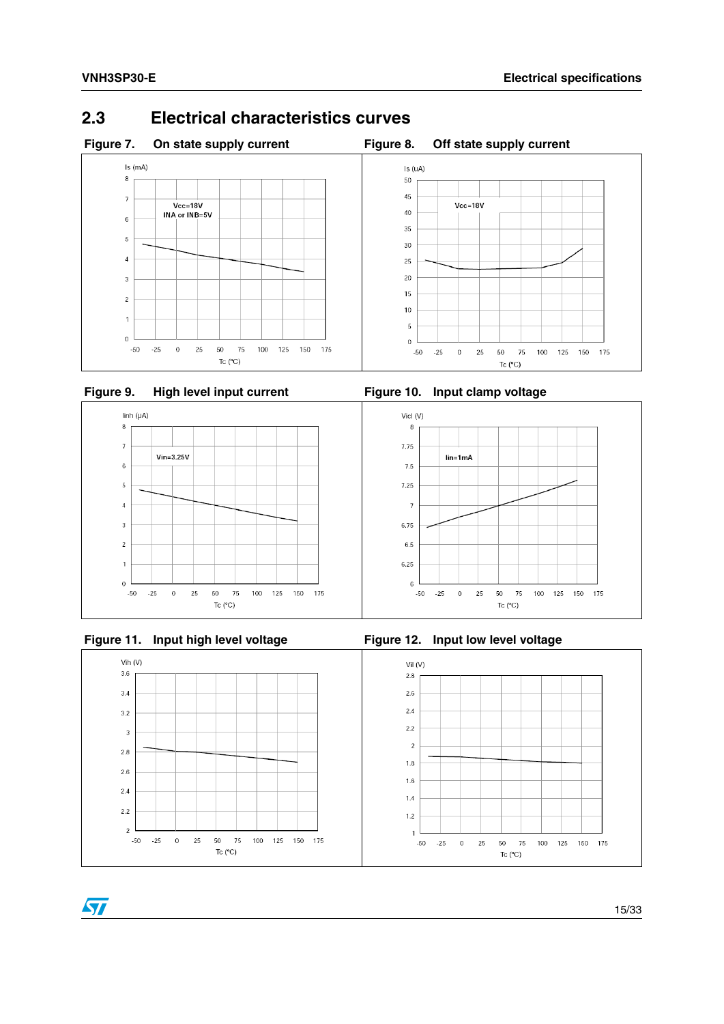### <span id="page-14-2"></span><span id="page-14-0"></span>**2.3 Electrical characteristics curves**

<span id="page-14-1"></span>

<span id="page-14-3"></span>



<span id="page-14-5"></span>



<span id="page-14-6"></span><span id="page-14-4"></span>

 $\sqrt{2}$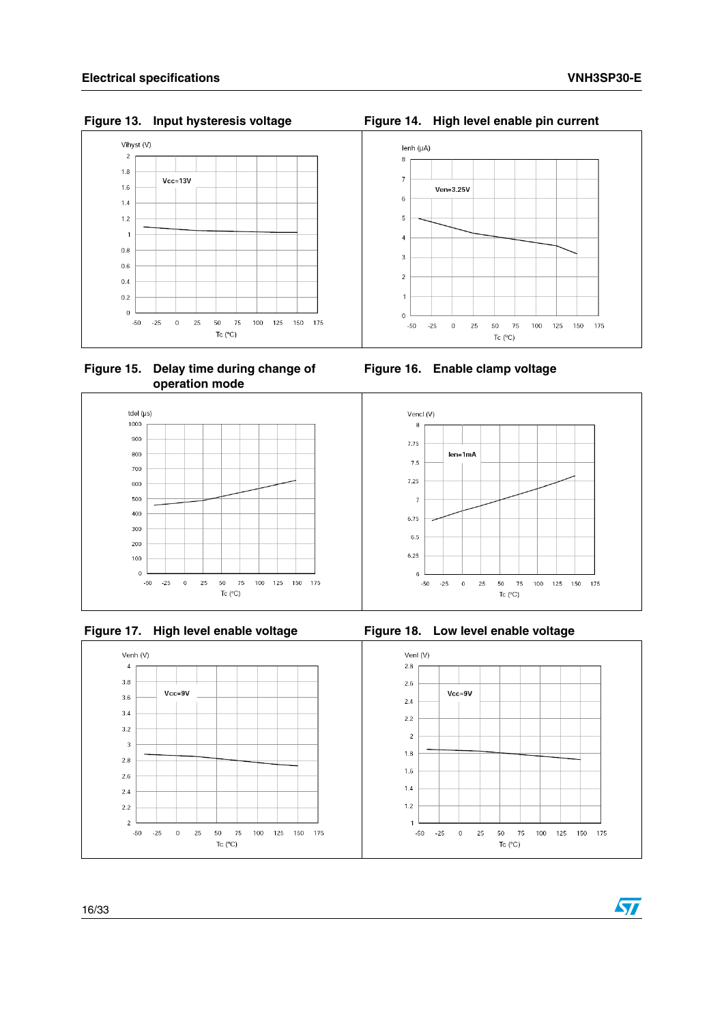<span id="page-15-0"></span>Figure 13. Input hysteresis voltage



<span id="page-15-2"></span> **Figure 15. Delay time during change of operation mode**



<span id="page-15-4"></span>



<span id="page-15-1"></span>Figure 14. High level enable pin current



<span id="page-15-3"></span>**Figure 16. Enable clamp voltage**

<span id="page-15-5"></span>

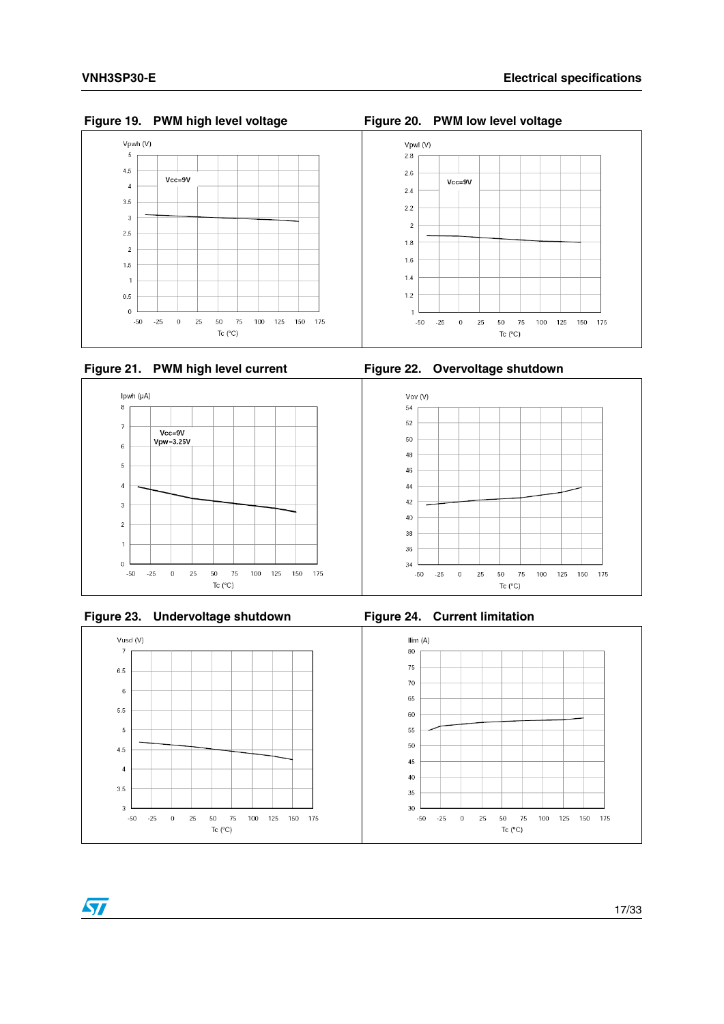



<span id="page-16-2"></span>



<span id="page-16-4"></span>



 $\sqrt{}$ 

<span id="page-16-5"></span>

<span id="page-16-0"></span>**Figure 19. PWM high level voltage Figure 20. PWM low level voltage**

<span id="page-16-1"></span>

<span id="page-16-3"></span>

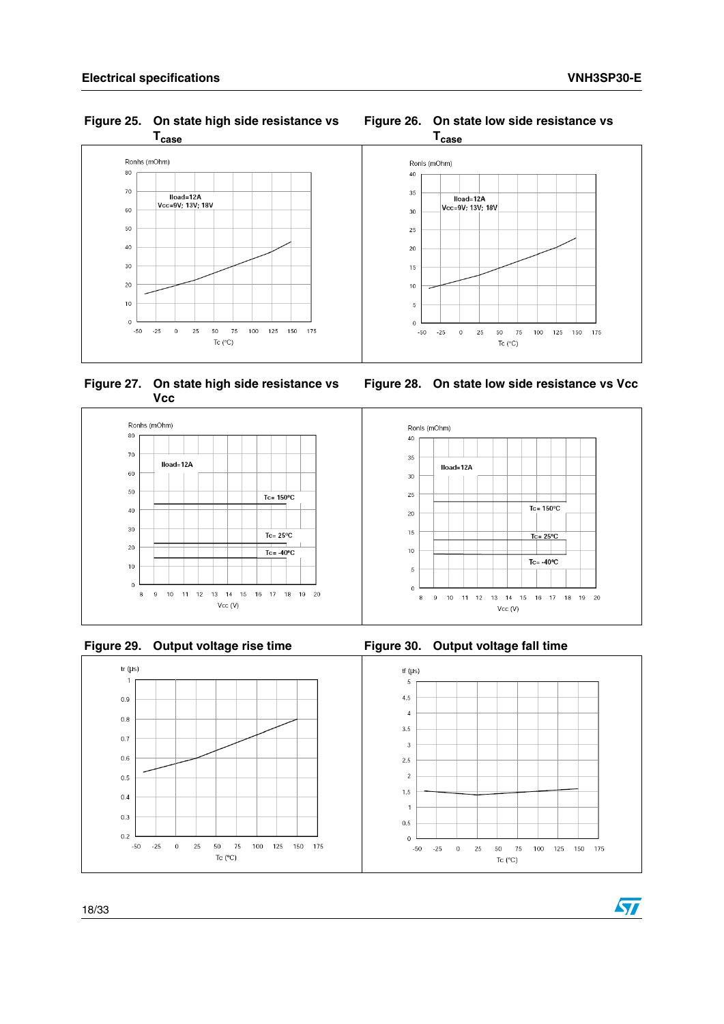<span id="page-17-0"></span>**Figure 25. On state high side resistance vs** 



<span id="page-17-2"></span> **Figure 27. On state high side resistance vs Vcc**



<span id="page-17-4"></span>



 $Vcc (V)$ 

<span id="page-17-3"></span>**Figure 28. On state low side resistance vs Vcc**

<span id="page-17-5"></span>



## <span id="page-17-1"></span>**Figure 26. On state low side resistance vs**

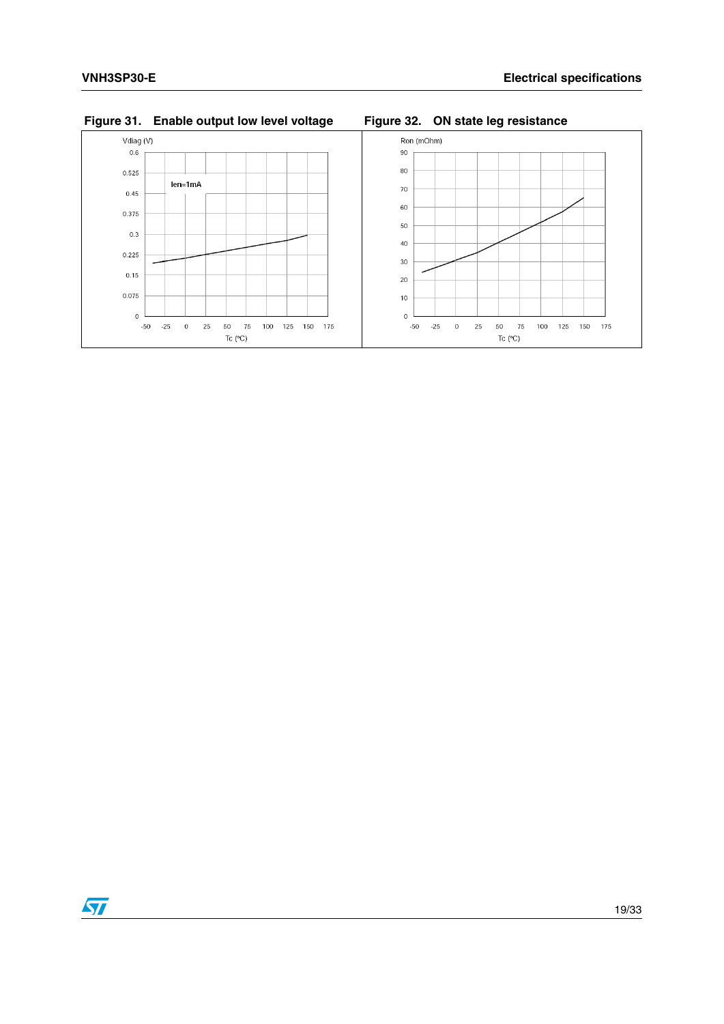<span id="page-18-1"></span>

#### <span id="page-18-0"></span>**Figure 31. Enable output low level voltage Figure 32. ON state leg resistance**

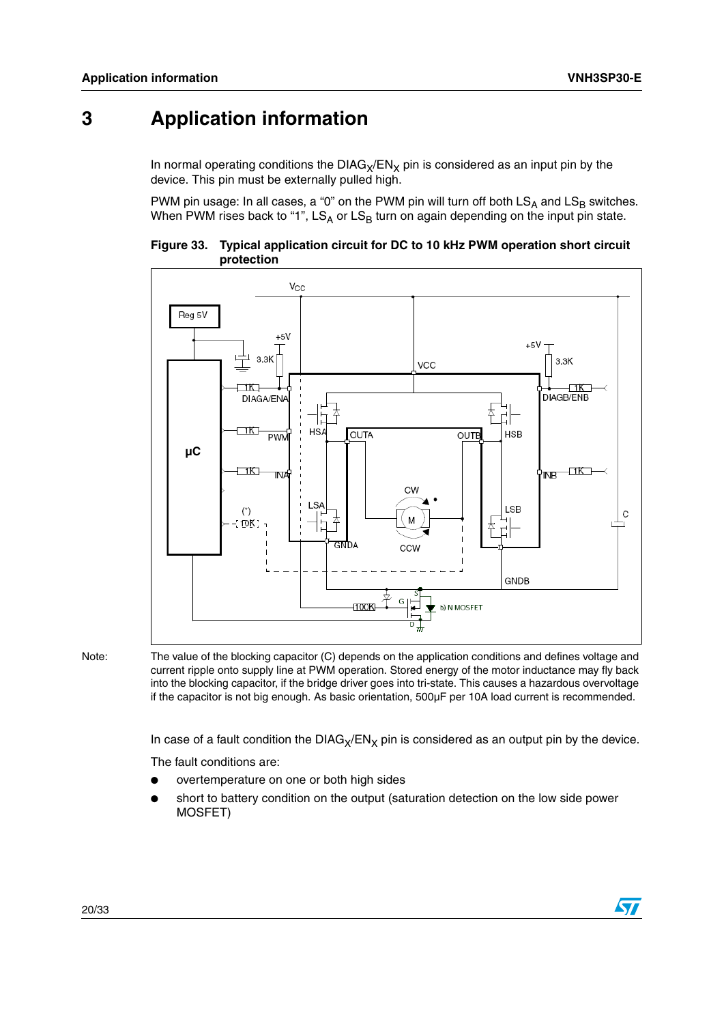## <span id="page-19-0"></span>**3 Application information**

In normal operating conditions the  $DIAG_X/EN_X$  pin is considered as an input pin by the device. This pin must be externally pulled high.

PWM pin usage: In all cases, a "0" on the PWM pin will turn off both  $\mathsf{LS}_\mathsf{A}$  and  $\mathsf{LS}_\mathsf{B}$  switches. When PWM rises back to "1", LS<sub>A</sub> or LS<sub>B</sub> turn on again depending on the input pin state.

<span id="page-19-1"></span>



Note: The value of the blocking capacitor (C) depends on the application conditions and defines voltage and current ripple onto supply line at PWM operation. Stored energy of the motor inductance may fly back into the blocking capacitor, if the bridge driver goes into tri-state. This causes a hazardous overvoltage if the capacitor is not big enough. As basic orientation, 500µF per 10A load current is recommended.

In case of a fault condition the  $DIAG_X/EN_X$  pin is considered as an output pin by the device.

The fault conditions are:

- overtemperature on one or both high sides
- short to battery condition on the output (saturation detection on the low side power MOSFET)

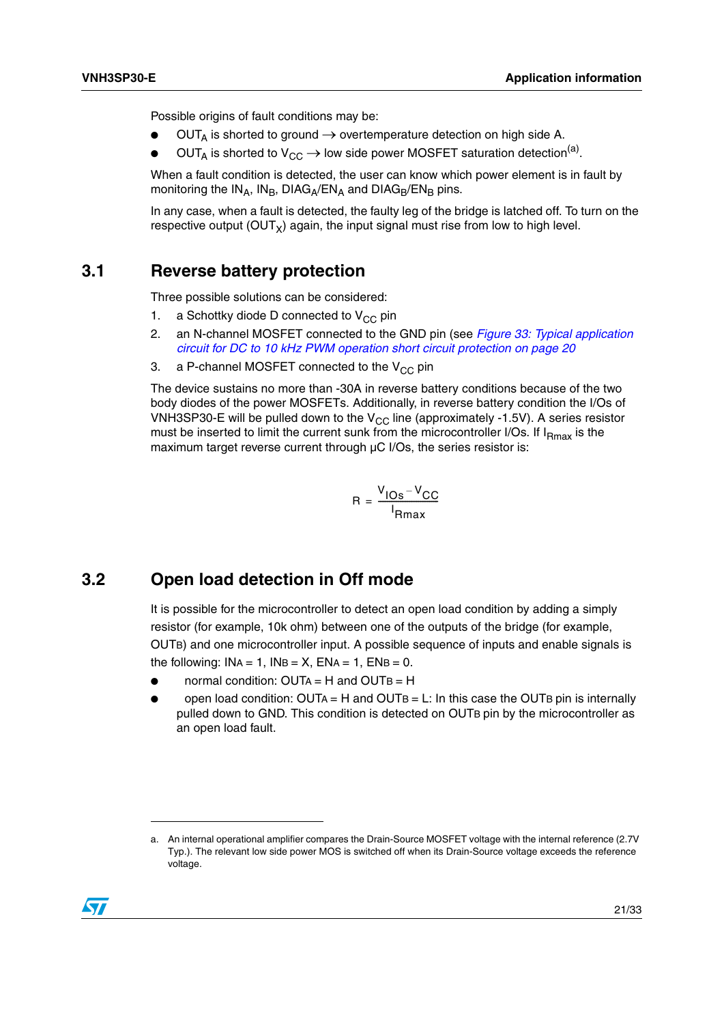Possible origins of fault conditions may be:

- $OUT_A$  is shorted to ground  $\rightarrow$  overtemperature detection on high side A.
- OUT<sub>A</sub> is shorted to  $V_{CC} \rightarrow$  low side power MOSFET saturation detection<sup>(a)</sup>.

When a fault condition is detected, the user can know which power element is in fault by monitoring the IN<sub>A</sub>, IN<sub>B</sub>, DIAG<sub>A</sub>/EN<sub>A</sub> and DIAG<sub>B</sub>/EN<sub>B</sub> pins.

In any case, when a fault is detected, the faulty leg of the bridge is latched off. To turn on the respective output  $(OUT_x)$  again, the input signal must rise from low to high level.

### <span id="page-20-0"></span>**3.1 Reverse battery protection**

Three possible solutions can be considered:

- 1. a Schottky diode D connected to  $V_{CC}$  pin
- 2. an N-channel MOSFET connected to the GND pin (see *[Figure 33: Typical application](#page-19-1)  [circuit for DC to 10 kHz PWM operation short circuit protection on page 20](#page-19-1)*
- 3. a P-channel MOSFET connected to the  $V_{CC}$  pin

The device sustains no more than -30A in reverse battery conditions because of the two body diodes of the power MOSFETs. Additionally, in reverse battery condition the I/Os of VNH3SP30-E will be pulled down to the  $V_{CC}$  line (approximately -1.5V). A series resistor must be inserted to limit the current sunk from the microcontroller I/Os. If  $I<sub>Rmax</sub>$  is the maximum target reverse current through µC I/Os, the series resistor is:

$$
R = \frac{V_{\text{IOS}} - V_{\text{CC}}}{I_{\text{Rmax}}}
$$

### <span id="page-20-1"></span>**3.2 Open load detection in Off mode**

It is possible for the microcontroller to detect an open load condition by adding a simply resistor (for example, 10k ohm) between one of the outputs of the bridge (for example, OUTB) and one microcontroller input. A possible sequence of inputs and enable signals is the following:  $INA = 1$ ,  $INB = X$ ,  $ENA = 1$ ,  $ENB = 0$ .

- normal condition:  $OUTA = H$  and  $OUTB = H$
- open load condition:  $OUTA = H$  and  $OUTB = L$ : In this case the OUTB pin is internally pulled down to GND. This condition is detected on OUTB pin by the microcontroller as an open load fault.

a. An internal operational amplifier compares the Drain-Source MOSFET voltage with the internal reference (2.7V Typ.). The relevant low side power MOS is switched off when its Drain-Source voltage exceeds the reference voltage.

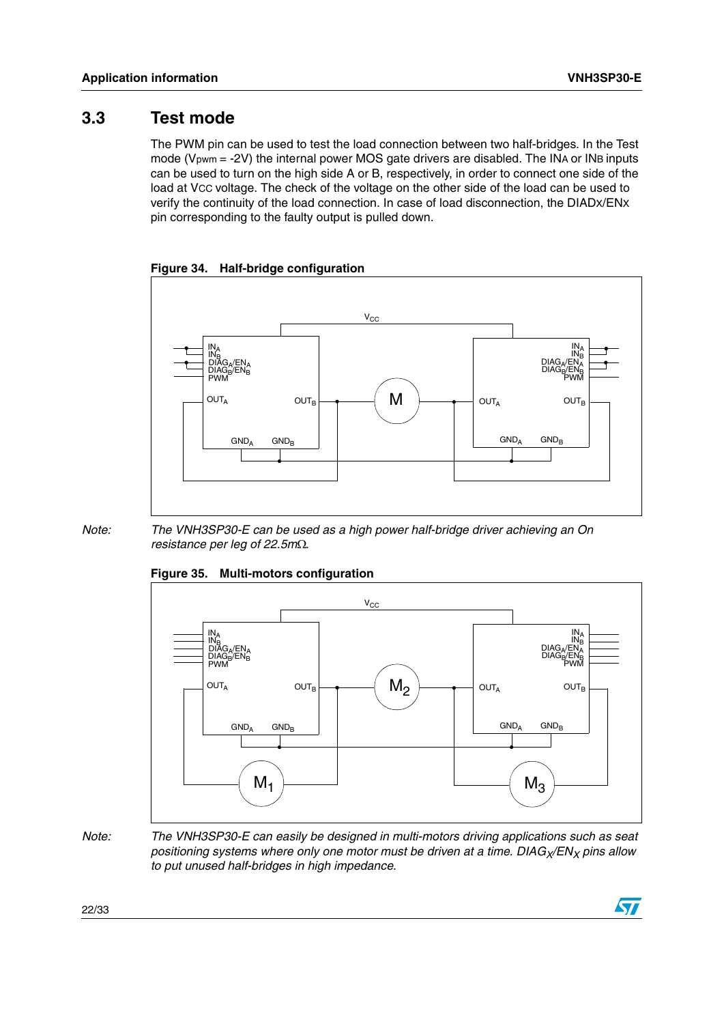### <span id="page-21-0"></span>**3.3 Test mode**

The PWM pin can be used to test the load connection between two half-bridges. In the Test mode (V<sub>pwm</sub> = -2V) the internal power MOS gate drivers are disabled. The INA or INB inputs can be used to turn on the high side A or B, respectively, in order to connect one side of the load at VCC voltage. The check of the voltage on the other side of the load can be used to verify the continuity of the load connection. In case of load disconnection, the DIADX/ENX pin corresponding to the faulty output is pulled down.

<span id="page-21-1"></span>**Figure 34. Half-bridge configuration**



*Note: The VNH3SP30-E can be used as a high power half-bridge driver achieving an On resistance per leg of 22.5m.* 



#### <span id="page-21-2"></span>**Figure 35. Multi-motors configuration**

*Note: The VNH3SP30-E can easily be designed in multi-motors driving applications such as seat*  positioning systems where only one motor must be driven at a time. DIAG<sub>X</sub>/EN<sub>X</sub> pins allow *to put unused half-bridges in high impedance.* 

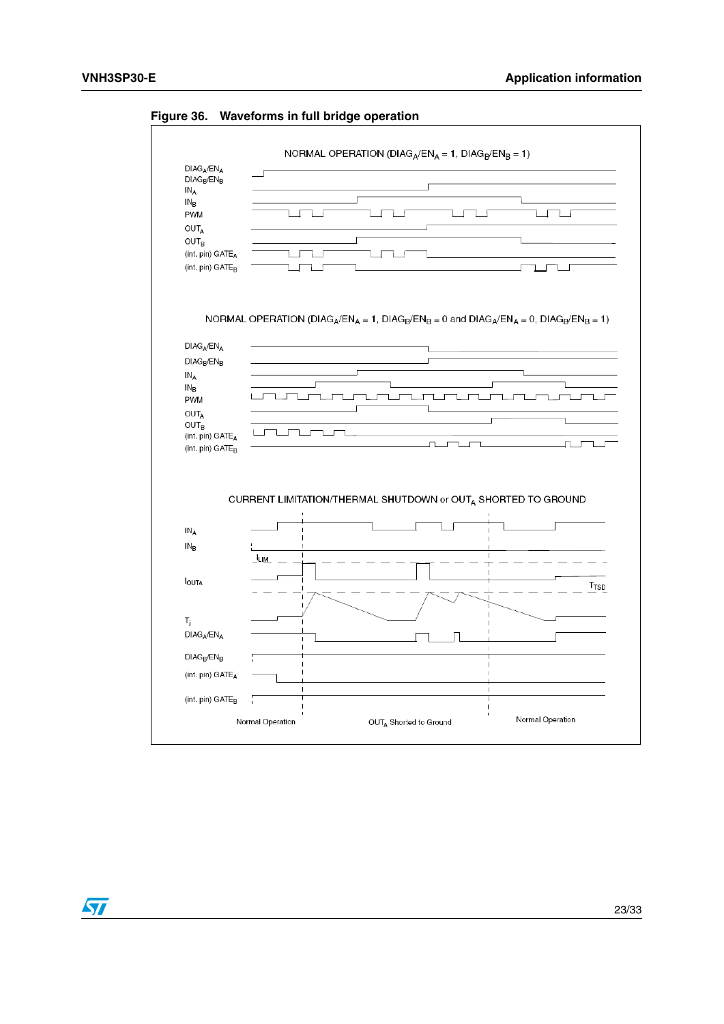

#### <span id="page-22-0"></span>**Figure 36. Waveforms in full bridge operation**

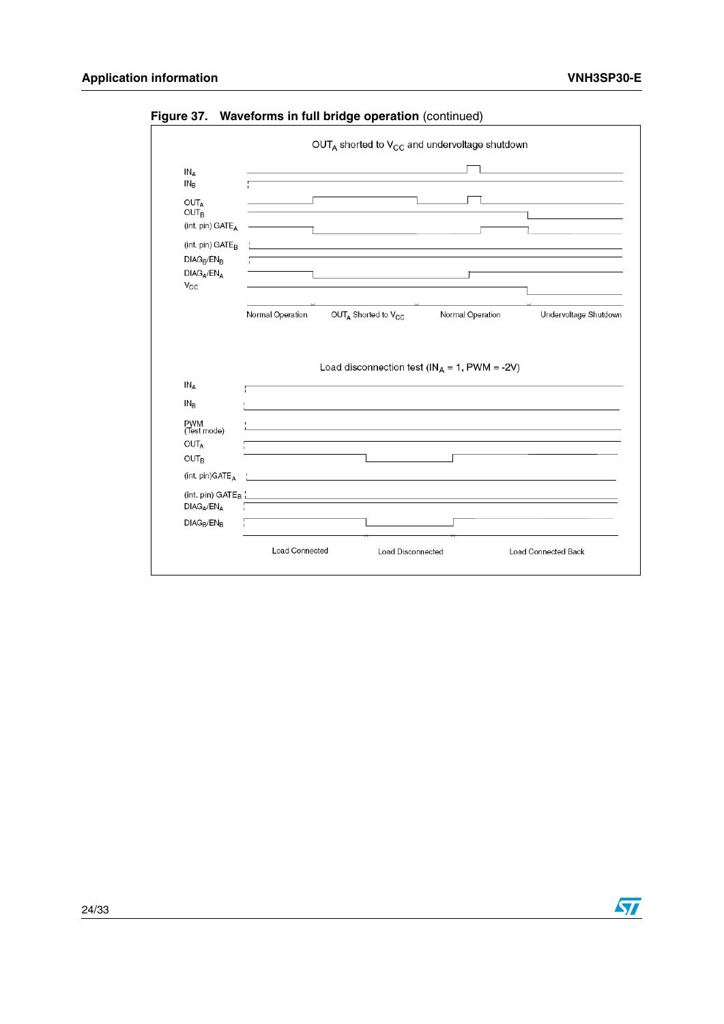|                                 |                  | OUTA shorted to V <sub>CC</sub> and undervoltage shutdown                                                        |                                                                       |                       |
|---------------------------------|------------------|------------------------------------------------------------------------------------------------------------------|-----------------------------------------------------------------------|-----------------------|
| IN <sub>A</sub>                 |                  |                                                                                                                  |                                                                       |                       |
| $IN_B$                          |                  |                                                                                                                  |                                                                       |                       |
| <b>OUTA</b><br>OUT <sub>B</sub> |                  |                                                                                                                  |                                                                       |                       |
| (int. pin) GATE <sub>A</sub>    |                  |                                                                                                                  |                                                                       |                       |
| (int. pin) GATE <sub>R</sub>    |                  |                                                                                                                  |                                                                       |                       |
| $DIAG_B/EN_B$                   |                  |                                                                                                                  |                                                                       |                       |
| $DIAG_A/EN_A$<br>$V_{\rm CC}$   |                  |                                                                                                                  |                                                                       |                       |
|                                 |                  |                                                                                                                  |                                                                       |                       |
|                                 |                  |                                                                                                                  |                                                                       |                       |
|                                 | Normal Operation | OUTA Shorted to V <sub>CC</sub>                                                                                  | Normal Operation<br>Load disconnection test ( $IN_A = 1$ , PWM = -2V) |                       |
|                                 |                  |                                                                                                                  |                                                                       |                       |
| $IN_A$                          |                  |                                                                                                                  |                                                                       |                       |
| $IN_B$                          |                  |                                                                                                                  |                                                                       |                       |
| PWM<br>(Test mode)              |                  | and the control of the control of the control of the control of the control of the control of the control of the |                                                                       |                       |
| <b>OUTA</b>                     |                  |                                                                                                                  |                                                                       |                       |
| <b>OUT<sub>B</sub></b>          |                  |                                                                                                                  |                                                                       |                       |
| (int. pin)GATE <sub>A</sub>     |                  | <u> 1980 - Johann Barbara, martxa alemaniar amerikan a</u>                                                       |                                                                       |                       |
|                                 |                  | (int. pin) GATE <sub>B</sub>                                                                                     |                                                                       |                       |
| $DIAG_A/EN_A$                   | ÷.               |                                                                                                                  |                                                                       |                       |
| $DIAG_B/EN_B$                   |                  |                                                                                                                  |                                                                       | Undervoltage Shutdown |

<span id="page-23-0"></span>**Figure 37. Waveforms in full bridge operation** (continued)



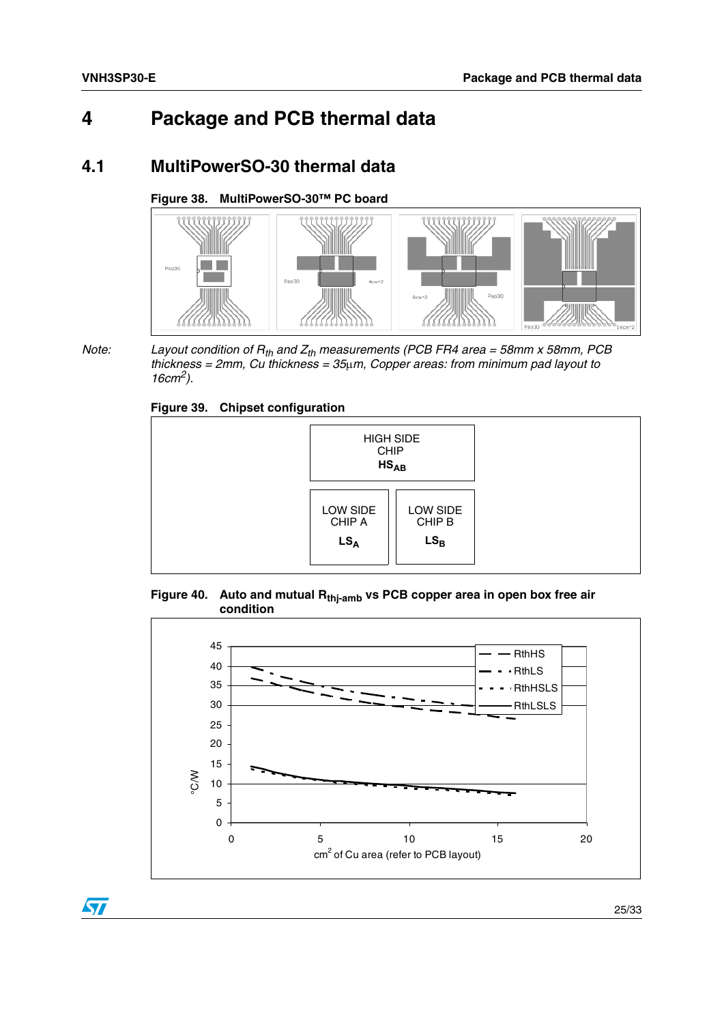## <span id="page-24-0"></span>**4 Package and PCB thermal data**

### <span id="page-24-1"></span>**4.1 MultiPowerSO-30 thermal data**

#### <span id="page-24-2"></span>**Figure 38. MultiPowerSO-30™ PC board**



 $\sqrt{2}$ 

*Note:* Layout condition of  $R_{th}$  and  $Z_{th}$  measurements (PCB FR4 area = 58mm x 58mm, PCB *thickness = 2mm, Cu thickness = 35m, Copper areas: from minimum pad layout to 16cm2).*

#### <span id="page-24-3"></span>**Figure 39. Chipset configuration**



<span id="page-24-4"></span>



25/33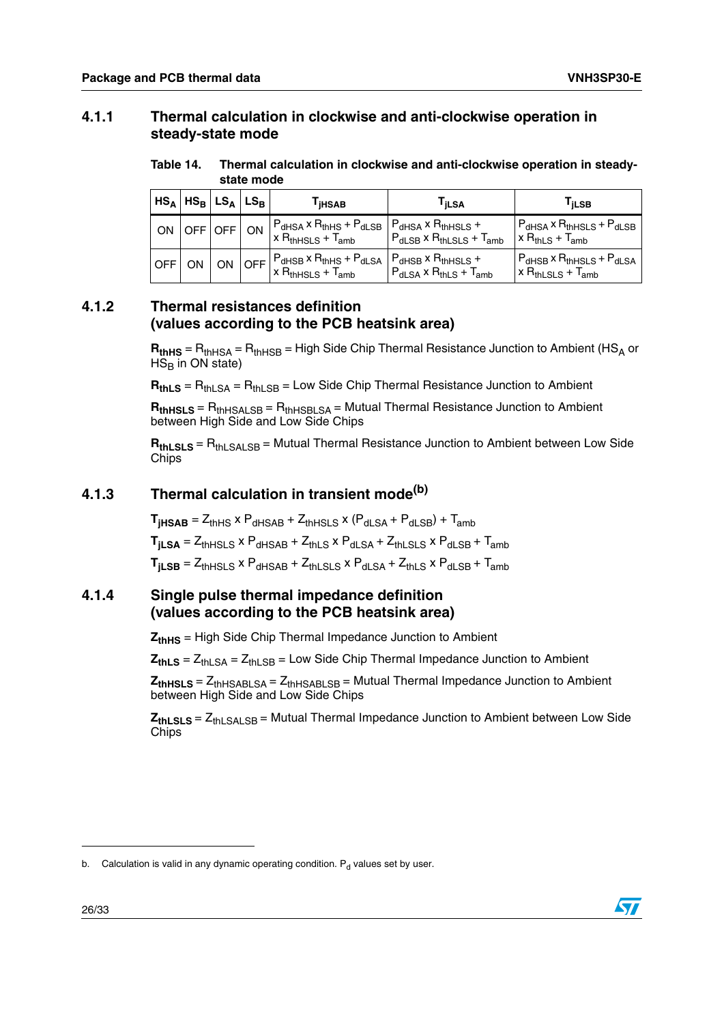### <span id="page-25-0"></span>**4.1.1 Thermal calculation in clockwise and anti-clockwise operation in steady-state mode**

<span id="page-25-4"></span>Table 14. **Thermal calculation in clockwise and anti-clockwise operation in steadystate mode**

| $ HS_A HS_B LS_A LS_B$ |                 |  | <b>iHSAB</b>                                                                                                                                                                                                               | <sup>I</sup> jLSA                     | I iLSB                                                                                  |
|------------------------|-----------------|--|----------------------------------------------------------------------------------------------------------------------------------------------------------------------------------------------------------------------------|---------------------------------------|-----------------------------------------------------------------------------------------|
|                        | ON OFF OFF   ON |  | $P_{dHSA}$ x $R_{thHS}$ + $P_{dLSB}$ $P_{dHSA}$ x $R_{thHSLS}$ +<br>$x RthHSLS + Tamb$                                                                                                                                     | $P_{dLSB}$ x $R_{thLSLS}$ + $T_{amb}$ | $P_{dHSA}$ x $R_{thHSLS}$ + $P_{dLSB}$<br>$x RthLS + Tamb$                              |
| <b>OFFION</b>          |                 |  | $\begin{array}{c c c c c c} & \text{ON} & \text{OFF} & \text{P}_\text{d,BS} \times \text{R}_\text{th,HS} + \text{P}_\text{d,SA} & \text{P}_\text{d,HS} \times \text{R}_\text{th,HSLS} + \end{array}$<br>$x RthHSLS + Tamb$ | $P_{dLSA}$ x $R_{thLS}$ + $T_{amb}$   | $P_{\text{dHSB}}$ x $R_{\text{thHSLS}}$ + $P_{\text{dLSA}}$<br>$x R_{thLSLS} + T_{amb}$ |

### <span id="page-25-1"></span>**4.1.2 Thermal resistances definition (values according to the PCB heatsink area)**

 $$  $HS<sub>B</sub>$  in ON state)

 $R_{thLS}$  =  $R_{th}$ <sub>SA</sub> =  $R_{th}$ <sub>SB</sub> = Low Side Chip Thermal Resistance Junction to Ambient

 $R_{thHSLS} = R_{thHSAI;SB} = R_{thHSH;SA} = Mutual Thermal Resistance Junction to Ambient$ between High Side and Low Side Chips

 $$ **Chips** 

### <span id="page-25-2"></span>**4.1.3 Thermal calculation in transient mode(b)**

 $T_{\text{HASAB}} = Z_{\text{thHS}} \times P_{\text{dHSAB}} + Z_{\text{thHS}} \times (P_{\text{dLSA}} + P_{\text{dLSB}}) + T_{\text{amb}}$ 

 $T_{\text{iLSA}} = Z_{\text{thHSLS}} \times P_{\text{dHSAB}} + Z_{\text{thLS}} \times P_{\text{dLSA}} + Z_{\text{thSIS}} \times P_{\text{dLSB}} + T_{\text{amb}}$ 

 $T_{\text{iLSB}} = Z_{\text{thHSLS}} \times P_{\text{dHSAB}} + Z_{\text{thLSLS}} \times P_{\text{dLSA}} + Z_{\text{thLS}} \times P_{\text{dLSB}} + T_{\text{amb}}$ 

#### <span id="page-25-3"></span>**4.1.4 Single pulse thermal impedance definition (values according to the PCB heatsink area)**

**ZthHS** = High Side Chip Thermal Impedance Junction to Ambient

 $Z_{thLS} = Z_{thLSA} = Z_{thLSB} =$  Low Side Chip Thermal Impedance Junction to Ambient

**ZthHSLS** = ZthHSABLSA = ZthHSABLSB = Mutual Thermal Impedance Junction to Ambient between High Side and Low Side Chips

**Z<sub>thLSLS</sub>** = Z<sub>thLSALSB</sub> = Mutual Thermal Impedance Junction to Ambient between Low Side **Chips** 



b. Calculation is valid in any dynamic operating condition.  $P_d$  values set by user.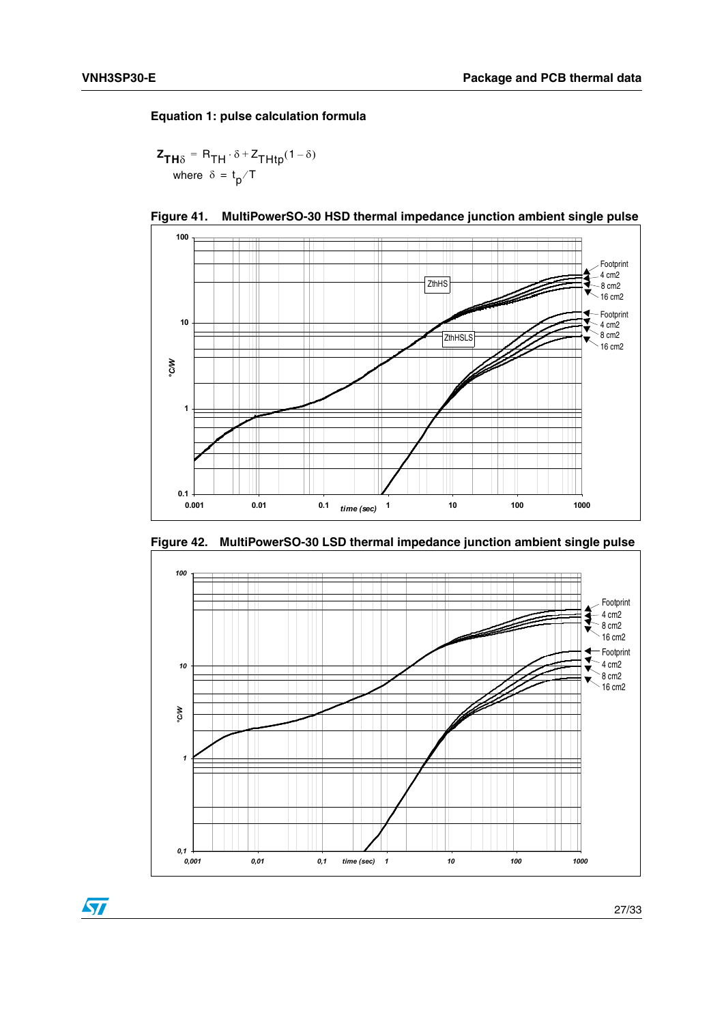$\sqrt{2}$ 

#### **Equation 1: pulse calculation formula**

$$
\mathbf{z}_{\mathbf{TH}\delta} = \mathbf{R}_{\mathbf{TH}} \cdot \delta + \mathbf{z}_{\mathbf{THtp}} (1 - \delta)
$$
  
where  $\delta = \mathbf{t}_p / T$ 



<span id="page-26-0"></span>



<span id="page-26-1"></span>**Figure 42. MultiPowerSO-30 LSD thermal impedance junction ambient single pulse**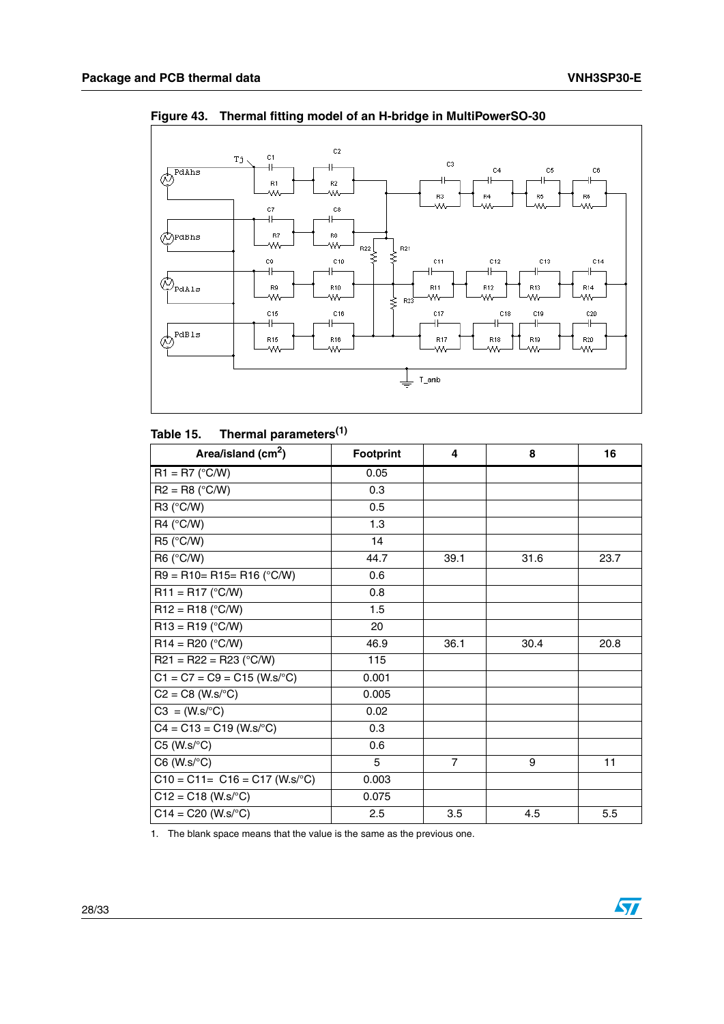

<span id="page-27-1"></span>**Figure 43. Thermal fitting model of an H-bridge in MultiPowerSO-30**

#### <span id="page-27-0"></span>Table 15. **Thermal parameters**<sup>(1)</sup>

| Area/island (cm <sup>2</sup> )   | <b>Footprint</b> | 4              | 8    | 16   |
|----------------------------------|------------------|----------------|------|------|
| $R1 = R7 (°C/W)$                 | 0.05             |                |      |      |
| $R2 = R8$ (°C/W)                 | 0.3              |                |      |      |
| R3 (°C/W)                        | 0.5              |                |      |      |
| R4 (°C/W)                        | 1.3              |                |      |      |
| R5 (°C/W)                        | 14               |                |      |      |
| R6 (°C/W)                        | 44.7             | 39.1           | 31.6 | 23.7 |
| $R9 = R10 = R15 = R16$ (°C/W)    | 0.6              |                |      |      |
| $R11 = R17$ (°C/W)               | 0.8              |                |      |      |
| $R12 = R18$ (°C/W)               | 1.5              |                |      |      |
| $R13 = R19$ (°C/W)               | 20               |                |      |      |
| $R14 = R20 (°C/W)$               | 46.9             | 36.1           | 30.4 | 20.8 |
| $R21 = R22 = R23$ (°C/W)         | 115              |                |      |      |
| $C1 = C7 = C9 = C15$ (W.s/°C)    | 0.001            |                |      |      |
| $C2 = C8$ (W.s/ $\degree$ C)     | 0.005            |                |      |      |
| $C3 = (W.s/°C)$                  | 0.02             |                |      |      |
| $C4 = C13 = C19$ (W.s/°C)        | 0.3              |                |      |      |
| $C5$ (W.s/ $\textdegree C$ )     | 0.6              |                |      |      |
| $C6$ (W.s/ $\textdegree C$ )     | 5                | $\overline{7}$ | 9    | 11   |
| $C10 = C11 = C16 = C17$ (W.s/°C) | 0.003            |                |      |      |
| $C12 = C18$ (W.s/°C)             | 0.075            |                |      |      |
| $C14 = C20 (W.soC)$              | 2.5              | 3.5            | 4.5  | 5.5  |

1. The blank space means that the value is the same as the previous one.

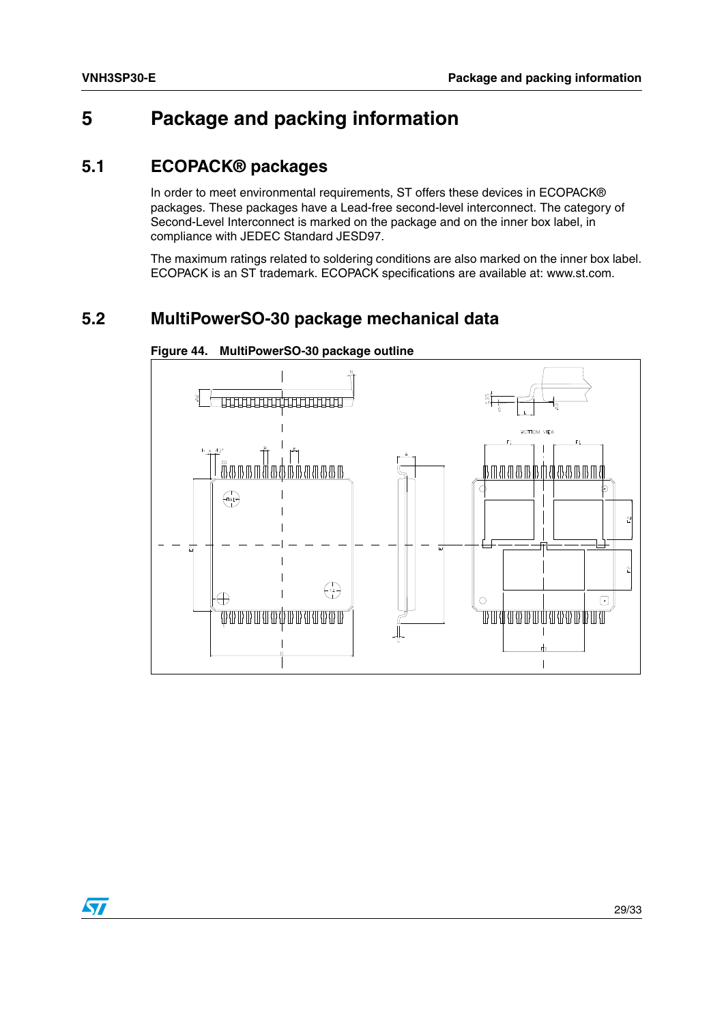## <span id="page-28-0"></span>**5 Package and packing information**

### <span id="page-28-1"></span>**5.1 ECOPACK® packages**

In order to meet environmental requirements, ST offers these devices in ECOPACK® packages. These packages have a Lead-free second-level interconnect. The category of Second-Level Interconnect is marked on the package and on the inner box label, in compliance with JEDEC Standard JESD97.

The maximum ratings related to soldering conditions are also marked on the inner box label. ECOPACK is an ST trademark. ECOPACK specifications are available at: www.st.com.

### <span id="page-28-2"></span>**5.2 MultiPowerSO-30 package mechanical data**



<span id="page-28-3"></span>**Figure 44. MultiPowerSO-30 package outline**

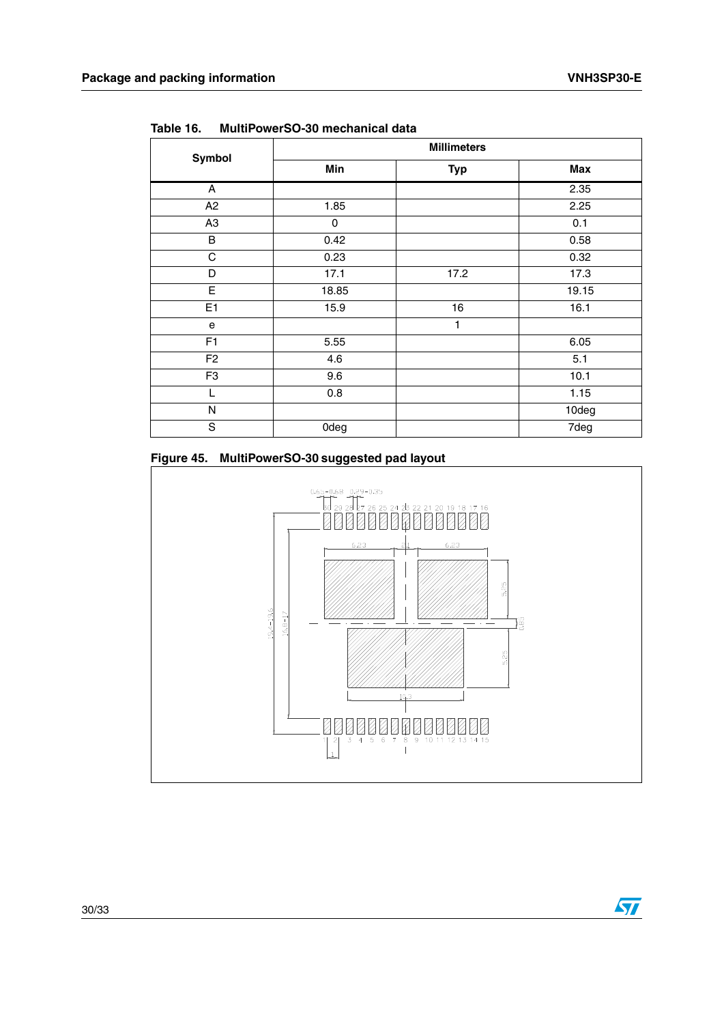$\sqrt{2}$ 

| <b>Symbol</b>  |       | <b>Millimeters</b> |       |
|----------------|-------|--------------------|-------|
|                | Min   | <b>Typ</b>         | Max   |
| A              |       |                    | 2.35  |
| A2             | 1.85  |                    | 2.25  |
| A <sub>3</sub> | 0     |                    | 0.1   |
| B              | 0.42  |                    | 0.58  |
| C              | 0.23  |                    | 0.32  |
| D              | 17.1  | 17.2               | 17.3  |
| E              | 18.85 |                    | 19.15 |
| E <sub>1</sub> | 15.9  | 16                 | 16.1  |
| e              |       | 1                  |       |
| F1             | 5.55  |                    | 6.05  |
| F <sub>2</sub> | 4.6   |                    | 5.1   |
| F <sub>3</sub> | 9.6   |                    | 10.1  |
| L              | 0.8   |                    | 1.15  |
| N              |       |                    | 10deg |
| S              | 0deg  |                    | 7deg  |

<span id="page-29-0"></span>**Table 16. MultiPowerSO-30 mechanical data**

<span id="page-29-1"></span>

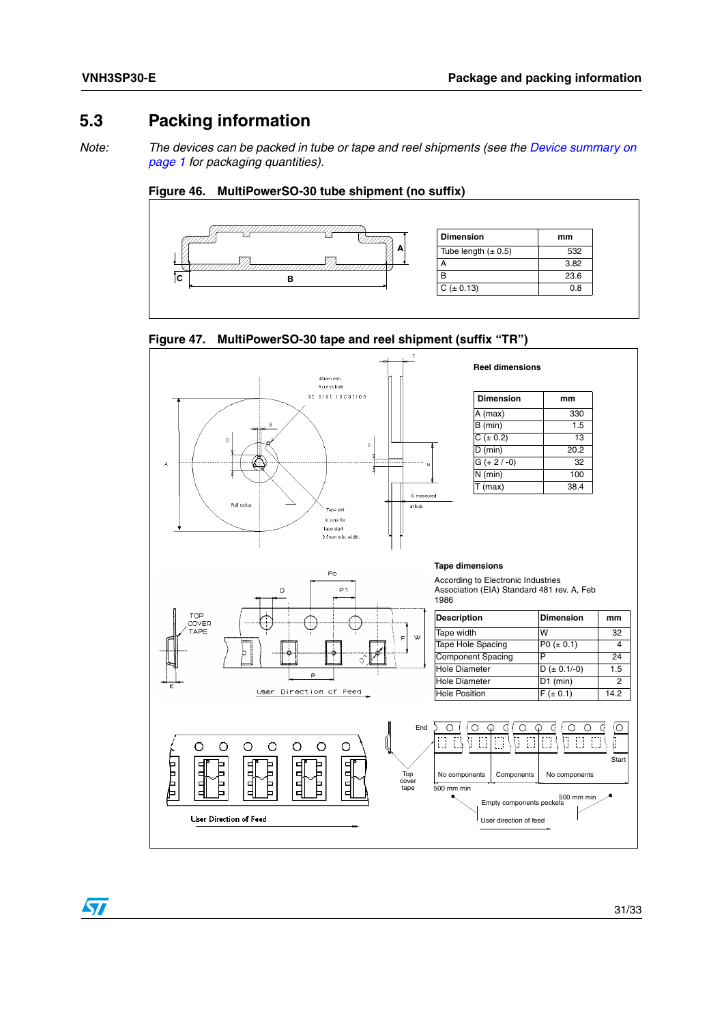### <span id="page-30-0"></span>**5.3 Packing information**

*Note:* The devices can be packed in tube or tape and reel shipments (see the *Device summary on [page 1](#page-0-0) for packaging quantities).*

<span id="page-30-1"></span>



<span id="page-30-2"></span>



 $\sqrt{2}$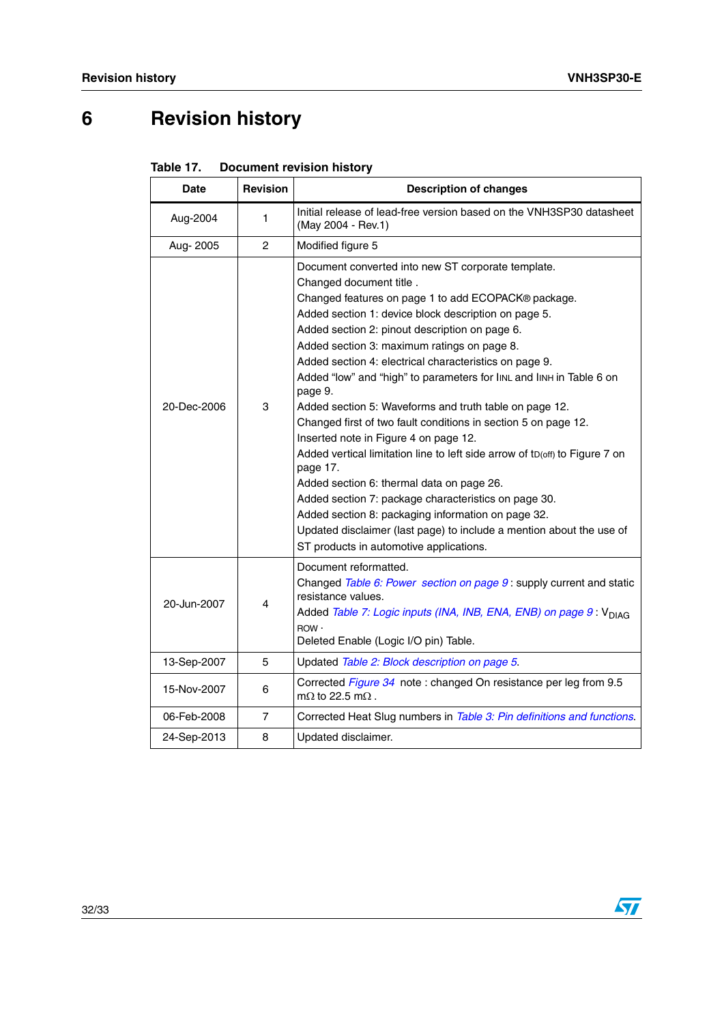# <span id="page-31-0"></span>**6 Revision history**

<span id="page-31-1"></span>

| Table 17. | <b>Document revision history</b> |  |
|-----------|----------------------------------|--|
|-----------|----------------------------------|--|

| <b>Date</b> | <b>Revision</b> | <b>Description of changes</b>                                                                                                                                                                                                                                                                                                                                                                                                                                                                                                                                                                                                                                                                                                                                                                                                                                                                                                                                                            |  |
|-------------|-----------------|------------------------------------------------------------------------------------------------------------------------------------------------------------------------------------------------------------------------------------------------------------------------------------------------------------------------------------------------------------------------------------------------------------------------------------------------------------------------------------------------------------------------------------------------------------------------------------------------------------------------------------------------------------------------------------------------------------------------------------------------------------------------------------------------------------------------------------------------------------------------------------------------------------------------------------------------------------------------------------------|--|
| Aug-2004    | 1               | Initial release of lead-free version based on the VNH3SP30 datasheet<br>(May 2004 - Rev.1)                                                                                                                                                                                                                                                                                                                                                                                                                                                                                                                                                                                                                                                                                                                                                                                                                                                                                               |  |
| Aug-2005    | $\mathcal{P}$   | Modified figure 5                                                                                                                                                                                                                                                                                                                                                                                                                                                                                                                                                                                                                                                                                                                                                                                                                                                                                                                                                                        |  |
| 20-Dec-2006 | 3               | Document converted into new ST corporate template.<br>Changed document title.<br>Changed features on page 1 to add ECOPACK® package.<br>Added section 1: device block description on page 5.<br>Added section 2: pinout description on page 6.<br>Added section 3: maximum ratings on page 8.<br>Added section 4: electrical characteristics on page 9.<br>Added "low" and "high" to parameters for linL and linH in Table 6 on<br>page 9.<br>Added section 5: Waveforms and truth table on page 12.<br>Changed first of two fault conditions in section 5 on page 12.<br>Inserted note in Figure 4 on page 12.<br>Added vertical limitation line to left side arrow of tD(off) to Figure 7 on<br>page 17.<br>Added section 6: thermal data on page 26.<br>Added section 7: package characteristics on page 30.<br>Added section 8: packaging information on page 32.<br>Updated disclaimer (last page) to include a mention about the use of<br>ST products in automotive applications. |  |
| 20-Jun-2007 | 4               | Document reformatted.<br>Changed Table 6: Power section on page 9: supply current and static<br>resistance values.<br>Added Table 7: Logic inputs (INA, INB, ENA, ENB) on page 9: V <sub>DIAG</sub><br>ROW ·<br>Deleted Enable (Logic I/O pin) Table.                                                                                                                                                                                                                                                                                                                                                                                                                                                                                                                                                                                                                                                                                                                                    |  |
| 13-Sep-2007 | 5               | Updated Table 2: Block description on page 5.                                                                                                                                                                                                                                                                                                                                                                                                                                                                                                                                                                                                                                                                                                                                                                                                                                                                                                                                            |  |
| 15-Nov-2007 | 6               | Corrected Figure 34 note: changed On resistance per leg from 9.5<br>m $\Omega$ to 22.5 m $\Omega$ .                                                                                                                                                                                                                                                                                                                                                                                                                                                                                                                                                                                                                                                                                                                                                                                                                                                                                      |  |
| 06-Feb-2008 | $\overline{7}$  | Corrected Heat Slug numbers in Table 3: Pin definitions and functions.                                                                                                                                                                                                                                                                                                                                                                                                                                                                                                                                                                                                                                                                                                                                                                                                                                                                                                                   |  |
| 24-Sep-2013 | 8               | Updated disclaimer.                                                                                                                                                                                                                                                                                                                                                                                                                                                                                                                                                                                                                                                                                                                                                                                                                                                                                                                                                                      |  |